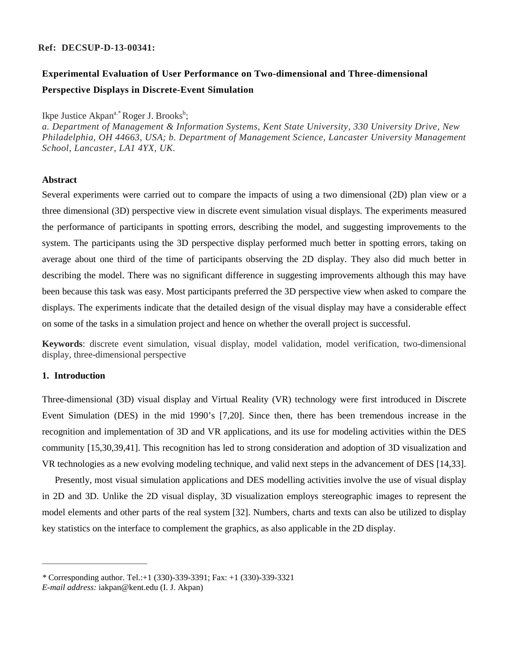#### **Ref: DECSUP-D-13-00341:**

# **Experimental Evaluation of User Performance on Two-dimensional and Three-dimensional Perspective Displays in Discrete-Event Simulation**

# Ikpe Justice Akpan<sup>a.\*</sup> Roger J. Brooks<sup>b</sup>;

*a. Department of Management & Information Systems, Kent State University, 330 University Drive, New Philadelphia, OH 44663, USA; b. Department of Management Science, Lancaster University Management School, Lancaster, LA1 4YX, UK.*

### **Abstract**

Several experiments were carried out to compare the impacts of using a two dimensional (2D) plan view or a three dimensional (3D) perspective view in discrete event simulation visual displays. The experiments measured the performance of participants in spotting errors, describing the model, and suggesting improvements to the system. The participants using the 3D perspective display performed much better in spotting errors, taking on average about one third of the time of participants observing the 2D display. They also did much better in describing the model. There was no significant difference in suggesting improvements although this may have been because this task was easy. Most participants preferred the 3D perspective view when asked to compare the displays. The experiments indicate that the detailed design of the visual display may have a considerable effect on some of the tasks in a simulation project and hence on whether the overall project is successful.

**Keywords**: discrete event simulation, visual display, model validation, model verification, two-dimensional display, three-dimensional perspective

### **1. Introduction**

Three-dimensional (3D) visual display and Virtual Reality (VR) technology were first introduced in Discrete Event Simulation (DES) in the mid 1990's [7,20]. Since then, there has been tremendous increase in the recognition and implementation of 3D and VR applications, and its use for modeling activities within the DES community [15,30,39,41]. This recognition has led to strong consideration and adoption of 3D visualization and VR technologies as a new evolving modeling technique, and valid next steps in the advancement of DES [14,33].

 Presently, most visual simulation applications and DES modelling activities involve the use of visual display in 2D and 3D. Unlike the 2D visual display, 3D visualization employs stereographic images to represent the model elements and other parts of the real system [32]. Numbers, charts and texts can also be utilized to display key statistics on the interface to complement the graphics, as also applicable in the 2D display.

\_\_\_\_\_\_\_\_\_\_\_\_\_\_\_\_\_\_\_\_\_\_\_\_\_\_\_\_\_\_\_

*<sup>\*</sup>* Corresponding author. Tel.:+1 (330)-339-3391; Fax: +1 (330)-339-3321

*E-mail address:* iakpan@kent.edu (I. J. Akpan)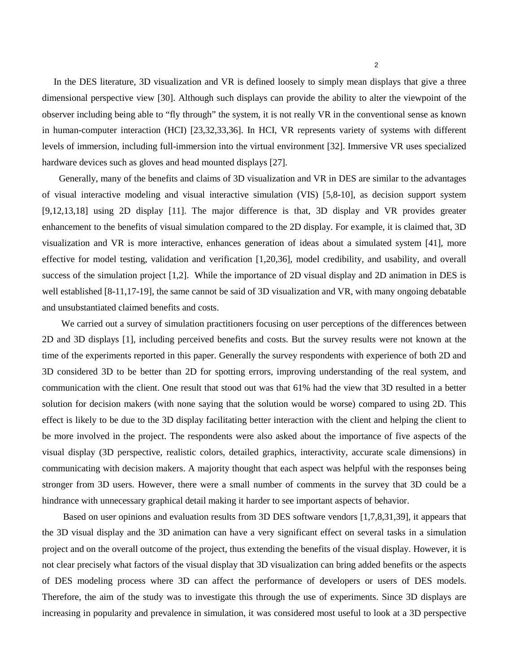In the DES literature, 3D visualization and VR is defined loosely to simply mean displays that give a three dimensional perspective view [30]. Although such displays can provide the ability to alter the viewpoint of the observer including being able to "fly through" the system, it is not really VR in the conventional sense as known in human-computer interaction (HCI) [23,32,33,36]. In HCI, VR represents variety of systems with different levels of immersion, including full-immersion into the virtual environment [32]. Immersive VR uses specialized hardware devices such as gloves and head mounted displays [27].

 Generally, many of the benefits and claims of 3D visualization and VR in DES are similar to the advantages of visual interactive modeling and visual interactive simulation (VIS) [5,8-10], as decision support system [9,12,13,18] using 2D display [11]. The major difference is that, 3D display and VR provides greater enhancement to the benefits of visual simulation compared to the 2D display. For example, it is claimed that, 3D visualization and VR is more interactive, enhances generation of ideas about a simulated system [41], more effective for model testing, validation and verification [1,20,36], model credibility, and usability, and overall success of the simulation project [1,2]. While the importance of 2D visual display and 2D animation in DES is well established [8-11,17-19], the same cannot be said of 3D visualization and VR, with many ongoing debatable and unsubstantiated claimed benefits and costs.

We carried out a survey of simulation practitioners focusing on user perceptions of the differences between 2D and 3D displays [1], including perceived benefits and costs. But the survey results were not known at the time of the experiments reported in this paper. Generally the survey respondents with experience of both 2D and 3D considered 3D to be better than 2D for spotting errors, improving understanding of the real system, and communication with the client. One result that stood out was that 61% had the view that 3D resulted in a better solution for decision makers (with none saying that the solution would be worse) compared to using 2D. This effect is likely to be due to the 3D display facilitating better interaction with the client and helping the client to be more involved in the project. The respondents were also asked about the importance of five aspects of the visual display (3D perspective, realistic colors, detailed graphics, interactivity, accurate scale dimensions) in communicating with decision makers. A majority thought that each aspect was helpful with the responses being stronger from 3D users. However, there were a small number of comments in the survey that 3D could be a hindrance with unnecessary graphical detail making it harder to see important aspects of behavior.

 Based on user opinions and evaluation results from 3D DES software vendors [1,7,8,31,39], it appears that the 3D visual display and the 3D animation can have a very significant effect on several tasks in a simulation project and on the overall outcome of the project, thus extending the benefits of the visual display. However, it is not clear precisely what factors of the visual display that 3D visualization can bring added benefits or the aspects of DES modeling process where 3D can affect the performance of developers or users of DES models. Therefore, the aim of the study was to investigate this through the use of experiments. Since 3D displays are increasing in popularity and prevalence in simulation, it was considered most useful to look at a 3D perspective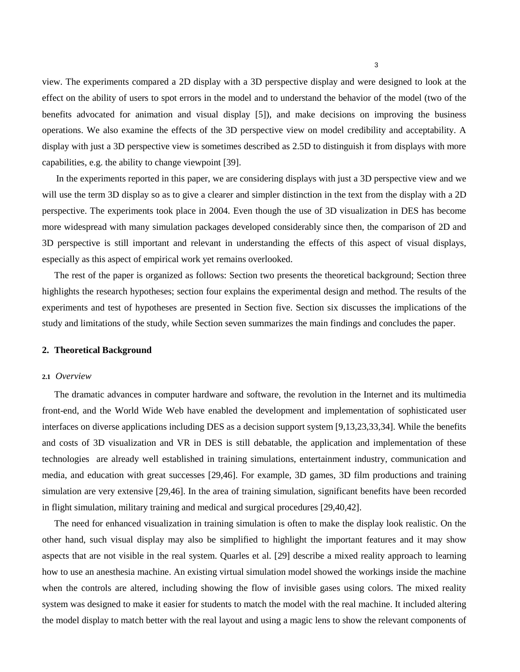view. The experiments compared a 2D display with a 3D perspective display and were designed to look at the effect on the ability of users to spot errors in the model and to understand the behavior of the model (two of the benefits advocated for animation and visual display [5]), and make decisions on improving the business operations. We also examine the effects of the 3D perspective view on model credibility and acceptability. A display with just a 3D perspective view is sometimes described as 2.5D to distinguish it from displays with more capabilities, e.g. the ability to change viewpoint [39].

 In the experiments reported in this paper, we are considering displays with just a 3D perspective view and we will use the term 3D display so as to give a clearer and simpler distinction in the text from the display with a 2D perspective. The experiments took place in 2004. Even though the use of 3D visualization in DES has become more widespread with many simulation packages developed considerably since then, the comparison of 2D and 3D perspective is still important and relevant in understanding the effects of this aspect of visual displays, especially as this aspect of empirical work yet remains overlooked.

The rest of the paper is organized as follows: Section two presents the theoretical background; Section three highlights the research hypotheses; section four explains the experimental design and method. The results of the experiments and test of hypotheses are presented in Section five. Section six discusses the implications of the study and limitations of the study, while Section seven summarizes the main findings and concludes the paper.

### **2. Theoretical Background**

#### **2.1** *Overview*

The dramatic advances in computer hardware and software, the revolution in the Internet and its multimedia front-end, and the World Wide Web have enabled the development and implementation of sophisticated user interfaces on diverse applications including DES as a decision support system [9,13,23,33,34]. While the benefits and costs of 3D visualization and VR in DES is still debatable, the application and implementation of these technologies are already well established in training simulations, entertainment industry, communication and media, and education with great successes [29,46]. For example, 3D games, 3D film productions and training simulation are very extensive [29,46]. In the area of training simulation, significant benefits have been recorded in flight simulation, military training and medical and surgical procedures [29,40,42].

The need for enhanced visualization in training simulation is often to make the display look realistic. On the other hand, such visual display may also be simplified to highlight the important features and it may show aspects that are not visible in the real system. Quarles et al. [29] describe a mixed reality approach to learning how to use an anesthesia machine. An existing virtual simulation model showed the workings inside the machine when the controls are altered, including showing the flow of invisible gases using colors. The mixed reality system was designed to make it easier for students to match the model with the real machine. It included altering the model display to match better with the real layout and using a magic lens to show the relevant components of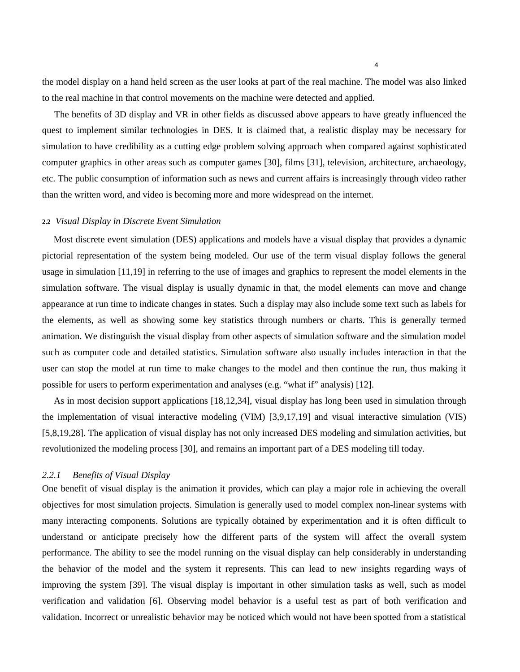the model display on a hand held screen as the user looks at part of the real machine. The model was also linked to the real machine in that control movements on the machine were detected and applied.

The benefits of 3D display and VR in other fields as discussed above appears to have greatly influenced the quest to implement similar technologies in DES. It is claimed that, a realistic display may be necessary for simulation to have credibility as a cutting edge problem solving approach when compared against sophisticated computer graphics in other areas such as computer games [30], films [31], television, architecture, archaeology, etc. The public consumption of information such as news and current affairs is increasingly through video rather than the written word, and video is becoming more and more widespread on the internet.

#### **2.2** *Visual Display in Discrete Event Simulation*

Most discrete event simulation (DES) applications and models have a visual display that provides a dynamic pictorial representation of the system being modeled. Our use of the term visual display follows the general usage in simulation [11,19] in referring to the use of images and graphics to represent the model elements in the simulation software. The visual display is usually dynamic in that, the model elements can move and change appearance at run time to indicate changes in states. Such a display may also include some text such as labels for the elements, as well as showing some key statistics through numbers or charts. This is generally termed animation. We distinguish the visual display from other aspects of simulation software and the simulation model such as computer code and detailed statistics. Simulation software also usually includes interaction in that the user can stop the model at run time to make changes to the model and then continue the run, thus making it possible for users to perform experimentation and analyses (e.g. "what if" analysis) [12].

 As in most decision support applications [18,12,34], visual display has long been used in simulation through the implementation of visual interactive modeling (VIM) [3,9,17,19] and visual interactive simulation (VIS) [5,8,19,28]. The application of visual display has not only increased DES modeling and simulation activities, but revolutionized the modeling process [30], and remains an important part of a DES modeling till today.

# *2.2.1 Benefits of Visual Display*

One benefit of visual display is the animation it provides, which can play a major role in achieving the overall objectives for most simulation projects. Simulation is generally used to model complex non-linear systems with many interacting components. Solutions are typically obtained by experimentation and it is often difficult to understand or anticipate precisely how the different parts of the system will affect the overall system performance. The ability to see the model running on the visual display can help considerably in understanding the behavior of the model and the system it represents. This can lead to new insights regarding ways of improving the system [39]. The visual display is important in other simulation tasks as well, such as model verification and validation [6]. Observing model behavior is a useful test as part of both verification and validation. Incorrect or unrealistic behavior may be noticed which would not have been spotted from a statistical

4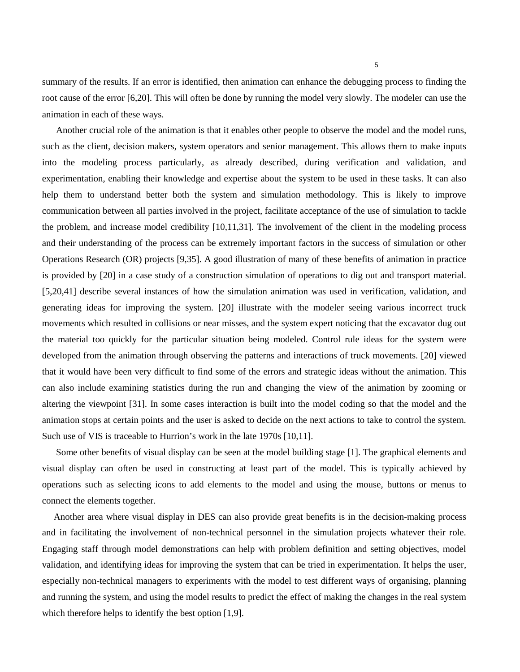summary of the results. If an error is identified, then animation can enhance the debugging process to finding the root cause of the error [6,20]. This will often be done by running the model very slowly. The modeler can use the animation in each of these ways.

 Another crucial role of the animation is that it enables other people to observe the model and the model runs, such as the client, decision makers, system operators and senior management. This allows them to make inputs into the modeling process particularly, as already described, during verification and validation, and experimentation, enabling their knowledge and expertise about the system to be used in these tasks. It can also help them to understand better both the system and simulation methodology. This is likely to improve communication between all parties involved in the project, facilitate acceptance of the use of simulation to tackle the problem, and increase model credibility [10,11,31]. The involvement of the client in the modeling process and their understanding of the process can be extremely important factors in the success of simulation or other Operations Research (OR) projects [9,35]. A good illustration of many of these benefits of animation in practice is provided by [20] in a case study of a construction simulation of operations to dig out and transport material. [5,20,41] describe several instances of how the simulation animation was used in verification, validation, and generating ideas for improving the system. [20] illustrate with the modeler seeing various incorrect truck movements which resulted in collisions or near misses, and the system expert noticing that the excavator dug out the material too quickly for the particular situation being modeled. Control rule ideas for the system were developed from the animation through observing the patterns and interactions of truck movements. [20] viewed that it would have been very difficult to find some of the errors and strategic ideas without the animation. This can also include examining statistics during the run and changing the view of the animation by zooming or altering the viewpoint [31]. In some cases interaction is built into the model coding so that the model and the animation stops at certain points and the user is asked to decide on the next actions to take to control the system. Such use of VIS is traceable to Hurrion's work in the late 1970s [10,11].

 Some other benefits of visual display can be seen at the model building stage [1]. The graphical elements and visual display can often be used in constructing at least part of the model. This is typically achieved by operations such as selecting icons to add elements to the model and using the mouse, buttons or menus to connect the elements together.

 Another area where visual display in DES can also provide great benefits is in the decision-making process and in facilitating the involvement of non-technical personnel in the simulation projects whatever their role. Engaging staff through model demonstrations can help with problem definition and setting objectives, model validation, and identifying ideas for improving the system that can be tried in experimentation. It helps the user, especially non-technical managers to experiments with the model to test different ways of organising, planning and running the system, and using the model results to predict the effect of making the changes in the real system which therefore helps to identify the best option [1,9].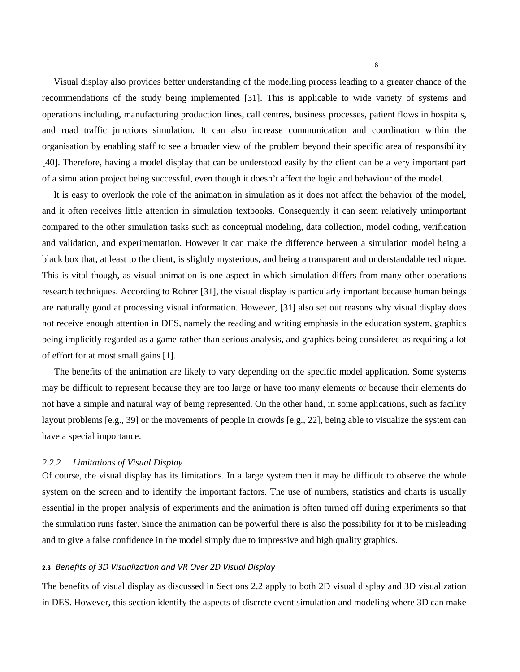Visual display also provides better understanding of the modelling process leading to a greater chance of the recommendations of the study being implemented [31]. This is applicable to wide variety of systems and operations including, manufacturing production lines, call centres, business processes, patient flows in hospitals, and road traffic junctions simulation. It can also increase communication and coordination within the organisation by enabling staff to see a broader view of the problem beyond their specific area of responsibility [40]. Therefore, having a model display that can be understood easily by the client can be a very important part of a simulation project being successful, even though it doesn't affect the logic and behaviour of the model.

 It is easy to overlook the role of the animation in simulation as it does not affect the behavior of the model, and it often receives little attention in simulation textbooks. Consequently it can seem relatively unimportant compared to the other simulation tasks such as conceptual modeling, data collection, model coding, verification and validation, and experimentation. However it can make the difference between a simulation model being a black box that, at least to the client, is slightly mysterious, and being a transparent and understandable technique. This is vital though, as visual animation is one aspect in which simulation differs from many other operations research techniques. According to Rohrer [31], the visual display is particularly important because human beings are naturally good at processing visual information. However, [31] also set out reasons why visual display does not receive enough attention in DES, namely the reading and writing emphasis in the education system, graphics being implicitly regarded as a game rather than serious analysis, and graphics being considered as requiring a lot of effort for at most small gains [1].

The benefits of the animation are likely to vary depending on the specific model application. Some systems may be difficult to represent because they are too large or have too many elements or because their elements do not have a simple and natural way of being represented. On the other hand, in some applications, such as facility layout problems [e.g., 39] or the movements of people in crowds [e.g., 22], being able to visualize the system can have a special importance.

### *2.2.2 Limitations of Visual Display*

Of course, the visual display has its limitations. In a large system then it may be difficult to observe the whole system on the screen and to identify the important factors. The use of numbers, statistics and charts is usually essential in the proper analysis of experiments and the animation is often turned off during experiments so that the simulation runs faster. Since the animation can be powerful there is also the possibility for it to be misleading and to give a false confidence in the model simply due to impressive and high quality graphics.

### **2.3** *Benefits of 3D Visualization and VR Over 2D Visual Display*

The benefits of visual display as discussed in Sections 2.2 apply to both 2D visual display and 3D visualization in DES. However, this section identify the aspects of discrete event simulation and modeling where 3D can make

6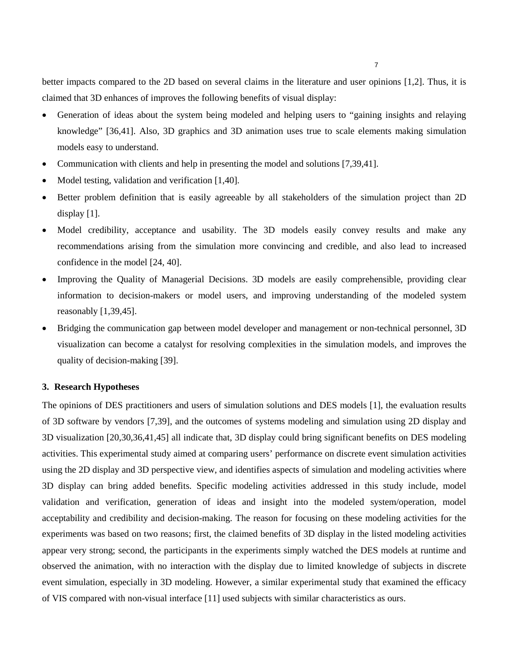better impacts compared to the 2D based on several claims in the literature and user opinions [1,2]. Thus, it is claimed that 3D enhances of improves the following benefits of visual display:

- Generation of ideas about the system being modeled and helping users to "gaining insights and relaying knowledge" [36,41]. Also, 3D graphics and 3D animation uses true to scale elements making simulation models easy to understand.
- Communication with clients and help in presenting the model and solutions [7,39,41].
- Model testing, validation and verification [1,40].
- Better problem definition that is easily agreeable by all stakeholders of the simulation project than 2D display [1].
- Model credibility, acceptance and usability. The 3D models easily convey results and make any recommendations arising from the simulation more convincing and credible, and also lead to increased confidence in the model [24, 40].
- Improving the Quality of Managerial Decisions. 3D models are easily comprehensible, providing clear information to decision-makers or model users, and improving understanding of the modeled system reasonably [1,39,45].
- Bridging the communication gap between model developer and management or non-technical personnel, 3D visualization can become a catalyst for resolving complexities in the simulation models, and improves the quality of decision-making [39].

### **3. Research Hypotheses**

The opinions of DES practitioners and users of simulation solutions and DES models [1], the evaluation results of 3D software by vendors [7,39], and the outcomes of systems modeling and simulation using 2D display and 3D visualization [20,30,36,41,45] all indicate that, 3D display could bring significant benefits on DES modeling activities. This experimental study aimed at comparing users' performance on discrete event simulation activities using the 2D display and 3D perspective view, and identifies aspects of simulation and modeling activities where 3D display can bring added benefits. Specific modeling activities addressed in this study include, model validation and verification, generation of ideas and insight into the modeled system/operation, model acceptability and credibility and decision-making. The reason for focusing on these modeling activities for the experiments was based on two reasons; first, the claimed benefits of 3D display in the listed modeling activities appear very strong; second, the participants in the experiments simply watched the DES models at runtime and observed the animation, with no interaction with the display due to limited knowledge of subjects in discrete event simulation, especially in 3D modeling. However, a similar experimental study that examined the efficacy of VIS compared with non-visual interface [11] used subjects with similar characteristics as ours.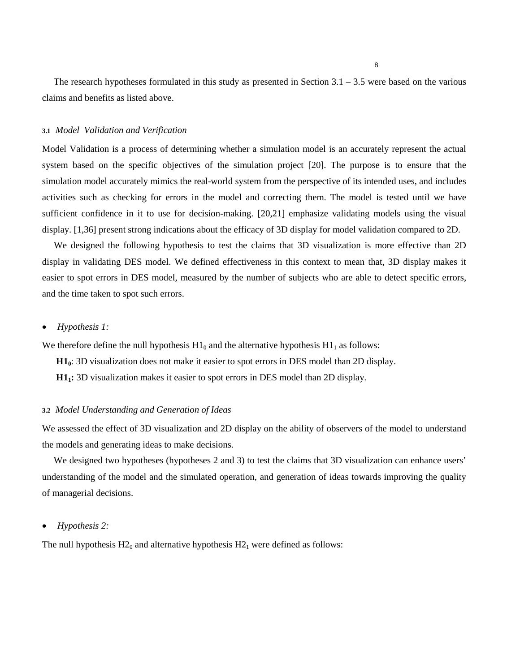The research hypotheses formulated in this study as presented in Section  $3.1 - 3.5$  were based on the various claims and benefits as listed above.

#### **3.1** *Model Validation and Verification*

Model Validation is a process of determining whether a simulation model is an accurately represent the actual system based on the specific objectives of the simulation project [20]. The purpose is to ensure that the simulation model accurately mimics the real-world system from the perspective of its intended uses, and includes activities such as checking for errors in the model and correcting them. The model is tested until we have sufficient confidence in it to use for decision-making. [20,21] emphasize validating models using the visual display. [1,36] present strong indications about the efficacy of 3D display for model validation compared to 2D.

 We designed the following hypothesis to test the claims that 3D visualization is more effective than 2D display in validating DES model. We defined effectiveness in this context to mean that, 3D display makes it easier to spot errors in DES model, measured by the number of subjects who are able to detect specific errors, and the time taken to spot such errors.

#### • *Hypothesis 1:*

We therefore define the null hypothesis  $H1_0$  and the alternative hypothesis  $H1_1$  as follows:

**H10**: 3D visualization does not make it easier to spot errors in DES model than 2D display.

 **H11:** 3D visualization makes it easier to spot errors in DES model than 2D display.

#### **3.2** *Model Understanding and Generation of Ideas*

We assessed the effect of 3D visualization and 2D display on the ability of observers of the model to understand the models and generating ideas to make decisions.

We designed two hypotheses (hypotheses 2 and 3) to test the claims that 3D visualization can enhance users' understanding of the model and the simulated operation, and generation of ideas towards improving the quality of managerial decisions.

#### • *Hypothesis 2:*

The null hypothesis  $H2_0$  and alternative hypothesis  $H2_1$  were defined as follows: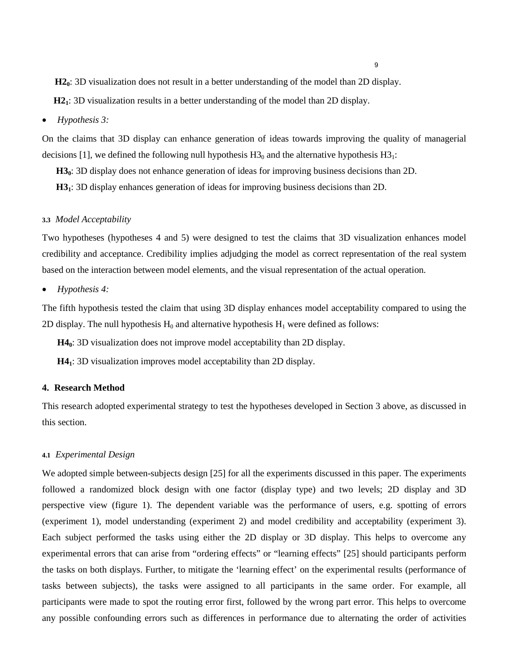**H20**: 3D visualization does not result in a better understanding of the model than 2D display.

**H21**: 3D visualization results in a better understanding of the model than 2D display.

• *Hypothesis 3:*

On the claims that 3D display can enhance generation of ideas towards improving the quality of managerial decisions [1], we defined the following null hypothesis  $H3_0$  and the alternative hypothesis  $H3_1$ :

 **H30**: 3D display does not enhance generation of ideas for improving business decisions than 2D.

 **H31**: 3D display enhances generation of ideas for improving business decisions than 2D.

### **3.3** *Model Acceptability*

Two hypotheses (hypotheses 4 and 5) were designed to test the claims that 3D visualization enhances model credibility and acceptance. Credibility implies adjudging the model as correct representation of the real system based on the interaction between model elements, and the visual representation of the actual operation.

• *Hypothesis 4:*

The fifth hypothesis tested the claim that using 3D display enhances model acceptability compared to using the 2D display. The null hypothesis  $H_0$  and alternative hypothesis  $H_1$  were defined as follows:

**H40**: 3D visualization does not improve model acceptability than 2D display.

**H41**: 3D visualization improves model acceptability than 2D display.

### **4. Research Method**

This research adopted experimental strategy to test the hypotheses developed in Section 3 above, as discussed in this section.

### **4.1** *Experimental Design*

We adopted simple between-subjects design [25] for all the experiments discussed in this paper. The experiments followed a randomized block design with one factor (display type) and two levels; 2D display and 3D perspective view (figure 1). The dependent variable was the performance of users, e.g. spotting of errors (experiment 1), model understanding (experiment 2) and model credibility and acceptability (experiment 3). Each subject performed the tasks using either the 2D display or 3D display. This helps to overcome any experimental errors that can arise from "ordering effects" or "learning effects" [25] should participants perform the tasks on both displays. Further, to mitigate the 'learning effect' on the experimental results (performance of tasks between subjects), the tasks were assigned to all participants in the same order. For example, all participants were made to spot the routing error first, followed by the wrong part error. This helps to overcome any possible confounding errors such as differences in performance due to alternating the order of activities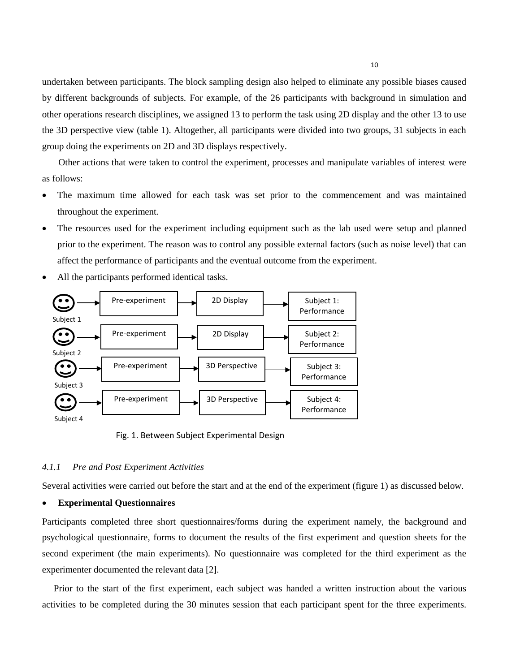undertaken between participants. The block sampling design also helped to eliminate any possible biases caused by different backgrounds of subjects. For example, of the 26 participants with background in simulation and other operations research disciplines, we assigned 13 to perform the task using 2D display and the other 13 to use the 3D perspective view (table 1). Altogether, all participants were divided into two groups, 31 subjects in each group doing the experiments on 2D and 3D displays respectively.

 Other actions that were taken to control the experiment, processes and manipulate variables of interest were as follows:

- The maximum time allowed for each task was set prior to the commencement and was maintained throughout the experiment.
- The resources used for the experiment including equipment such as the lab used were setup and planned prior to the experiment. The reason was to control any possible external factors (such as noise level) that can affect the performance of participants and the eventual outcome from the experiment.
- All the participants performed identical tasks.



Fig. 1. Between Subject Experimental Design

# *4.1.1 Pre and Post Experiment Activities*

Several activities were carried out before the start and at the end of the experiment (figure 1) as discussed below.

#### • **Experimental Questionnaires**

Participants completed three short questionnaires/forms during the experiment namely, the background and psychological questionnaire, forms to document the results of the first experiment and question sheets for the second experiment (the main experiments). No questionnaire was completed for the third experiment as the experimenter documented the relevant data [2].

 Prior to the start of the first experiment, each subject was handed a written instruction about the various activities to be completed during the 30 minutes session that each participant spent for the three experiments.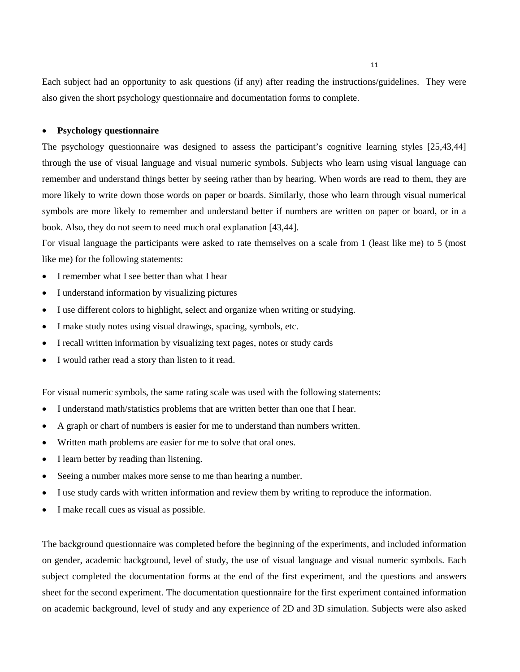Each subject had an opportunity to ask questions (if any) after reading the instructions/guidelines. They were also given the short psychology questionnaire and documentation forms to complete.

### • **Psychology questionnaire**

The psychology questionnaire was designed to assess the participant's cognitive learning styles [25,43,44] through the use of visual language and visual numeric symbols. Subjects who learn using visual language can remember and understand things better by seeing rather than by hearing. When words are read to them, they are more likely to write down those words on paper or boards. Similarly, those who learn through visual numerical symbols are more likely to remember and understand better if numbers are written on paper or board, or in a book. Also, they do not seem to need much oral explanation [43,44].

For visual language the participants were asked to rate themselves on a scale from 1 (least like me) to 5 (most like me) for the following statements:

- I remember what I see better than what I hear
- I understand information by visualizing pictures
- I use different colors to highlight, select and organize when writing or studying.
- I make study notes using visual drawings, spacing, symbols, etc.
- I recall written information by visualizing text pages, notes or study cards
- I would rather read a story than listen to it read.

For visual numeric symbols, the same rating scale was used with the following statements:

- I understand math/statistics problems that are written better than one that I hear.
- A graph or chart of numbers is easier for me to understand than numbers written.
- Written math problems are easier for me to solve that oral ones.
- I learn better by reading than listening.
- Seeing a number makes more sense to me than hearing a number.
- I use study cards with written information and review them by writing to reproduce the information.
- I make recall cues as visual as possible.

The background questionnaire was completed before the beginning of the experiments, and included information on gender, academic background, level of study, the use of visual language and visual numeric symbols. Each subject completed the documentation forms at the end of the first experiment, and the questions and answers sheet for the second experiment. The documentation questionnaire for the first experiment contained information on academic background, level of study and any experience of 2D and 3D simulation. Subjects were also asked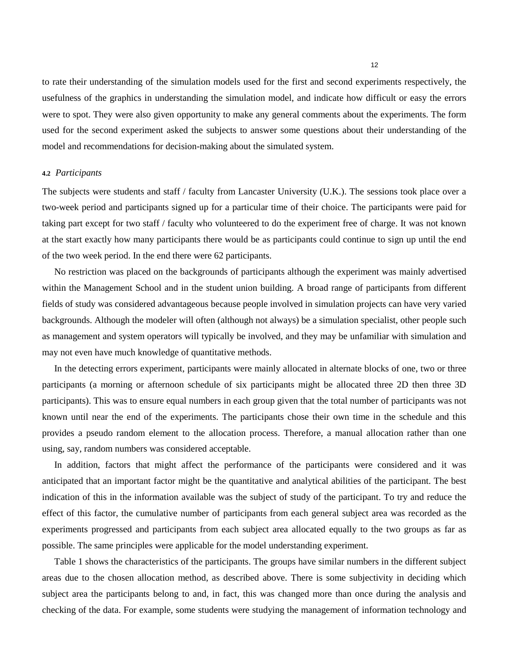to rate their understanding of the simulation models used for the first and second experiments respectively, the usefulness of the graphics in understanding the simulation model, and indicate how difficult or easy the errors were to spot. They were also given opportunity to make any general comments about the experiments. The form used for the second experiment asked the subjects to answer some questions about their understanding of the model and recommendations for decision-making about the simulated system.

### **4.2** *Participants*

The subjects were students and staff / faculty from Lancaster University (U.K.). The sessions took place over a two-week period and participants signed up for a particular time of their choice. The participants were paid for taking part except for two staff / faculty who volunteered to do the experiment free of charge. It was not known at the start exactly how many participants there would be as participants could continue to sign up until the end of the two week period. In the end there were 62 participants.

No restriction was placed on the backgrounds of participants although the experiment was mainly advertised within the Management School and in the student union building. A broad range of participants from different fields of study was considered advantageous because people involved in simulation projects can have very varied backgrounds. Although the modeler will often (although not always) be a simulation specialist, other people such as management and system operators will typically be involved, and they may be unfamiliar with simulation and may not even have much knowledge of quantitative methods.

In the detecting errors experiment, participants were mainly allocated in alternate blocks of one, two or three participants (a morning or afternoon schedule of six participants might be allocated three 2D then three 3D participants). This was to ensure equal numbers in each group given that the total number of participants was not known until near the end of the experiments. The participants chose their own time in the schedule and this provides a pseudo random element to the allocation process. Therefore, a manual allocation rather than one using, say, random numbers was considered acceptable.

In addition, factors that might affect the performance of the participants were considered and it was anticipated that an important factor might be the quantitative and analytical abilities of the participant. The best indication of this in the information available was the subject of study of the participant. To try and reduce the effect of this factor, the cumulative number of participants from each general subject area was recorded as the experiments progressed and participants from each subject area allocated equally to the two groups as far as possible. The same principles were applicable for the model understanding experiment.

Table 1 shows the characteristics of the participants. The groups have similar numbers in the different subject areas due to the chosen allocation method, as described above. There is some subjectivity in deciding which subject area the participants belong to and, in fact, this was changed more than once during the analysis and checking of the data. For example, some students were studying the management of information technology and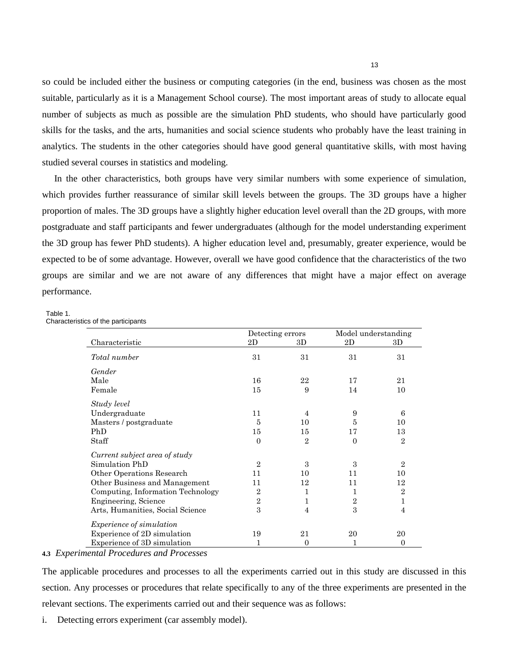so could be included either the business or computing categories (in the end, business was chosen as the most suitable, particularly as it is a Management School course). The most important areas of study to allocate equal number of subjects as much as possible are the simulation PhD students, who should have particularly good skills for the tasks, and the arts, humanities and social science students who probably have the least training in analytics. The students in the other categories should have good general quantitative skills, with most having studied several courses in statistics and modeling.

In the other characteristics, both groups have very similar numbers with some experience of simulation, which provides further reassurance of similar skill levels between the groups. The 3D groups have a higher proportion of males. The 3D groups have a slightly higher education level overall than the 2D groups, with more postgraduate and staff participants and fewer undergraduates (although for the model understanding experiment the 3D group has fewer PhD students). A higher education level and, presumably, greater experience, would be expected to be of some advantage. However, overall we have good confidence that the characteristics of the two groups are similar and we are not aware of any differences that might have a major effect on average performance.

#### Table 1.

Characteristics of the participants

|                                   | Detecting errors |                | Model understanding |                |
|-----------------------------------|------------------|----------------|---------------------|----------------|
| Characteristic                    | 2D               | 3D             | 2D                  | 3D             |
| Total number                      | 31               | 31             | 31                  | 31             |
| Gender                            |                  |                |                     |                |
| Male                              | 16               | 22             | 17                  | 21             |
| Female                            | 15               | 9              | 14                  | 10             |
| Study level                       |                  |                |                     |                |
| Undergraduate                     | 11               | $\overline{4}$ | 9                   | 6              |
| Masters / postgraduate            | 5                | 10             | 5                   | 10             |
| PhD                               | 15               | 15             | 17                  | 13             |
| Staff                             | $\Omega$         | $\overline{2}$ | $\Omega$            | $\overline{2}$ |
| Current subject area of study     |                  |                |                     |                |
| Simulation PhD                    | $\overline{2}$   | 3              | 3                   | $\mathbf{2}$   |
| Other Operations Research         | 11               | 10             | 11                  | 10             |
| Other Business and Management     | 11               | 12             | 11                  | 12             |
| Computing, Information Technology | 2                | $\mathbf{1}$   | 1                   | $\overline{2}$ |
| Engineering, Science              | $\overline{2}$   | 1              | $\overline{2}$      | 1              |
| Arts, Humanities, Social Science  | 3                | $\overline{4}$ | 3                   | 4              |
| <i>Experience of simulation</i>   |                  |                |                     |                |
| Experience of 2D simulation       | 19               | 21             | 20                  | 20             |
| Experience of 3D simulation       | 1                | $\Omega$       | 1                   | $\Omega$       |

#### **4.3** *Experimental Procedures and Processes*

The applicable procedures and processes to all the experiments carried out in this study are discussed in this section. Any processes or procedures that relate specifically to any of the three experiments are presented in the relevant sections. The experiments carried out and their sequence was as follows:

i. Detecting errors experiment (car assembly model).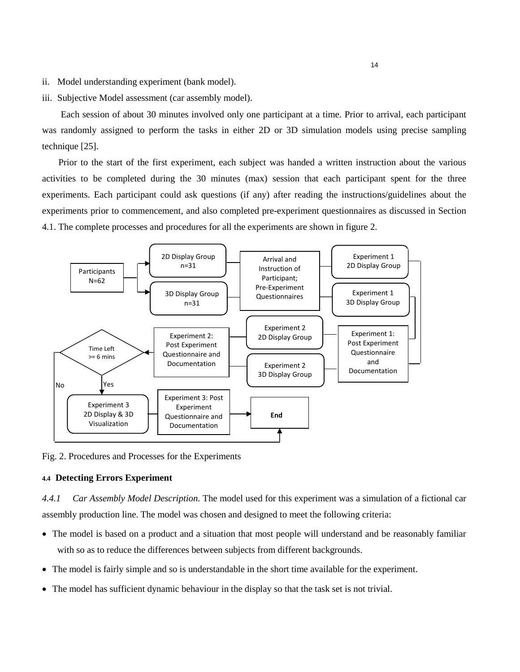- ii. Model understanding experiment (bank model).
- iii. Subjective Model assessment (car assembly model).

 Each session of about 30 minutes involved only one participant at a time. Prior to arrival, each participant was randomly assigned to perform the tasks in either 2D or 3D simulation models using precise sampling technique [25].

 Prior to the start of the first experiment, each subject was handed a written instruction about the various activities to be completed during the 30 minutes (max) session that each participant spent for the three experiments. Each participant could ask questions (if any) after reading the instructions/guidelines about the experiments prior to commencement, and also completed pre-experiment questionnaires as discussed in Section 4.1. The complete processes and procedures for all the experiments are shown in figure 2.



Fig. 2. Procedures and Processes for the Experiments

#### **4.4 Detecting Errors Experiment**

*4.4.1 Car Assembly Model Description.* The model used for this experiment was a simulation of a fictional car assembly production line. The model was chosen and designed to meet the following criteria:

- The model is based on a product and a situation that most people will understand and be reasonably familiar with so as to reduce the differences between subjects from different backgrounds.
- The model is fairly simple and so is understandable in the short time available for the experiment.
- The model has sufficient dynamic behaviour in the display so that the task set is not trivial.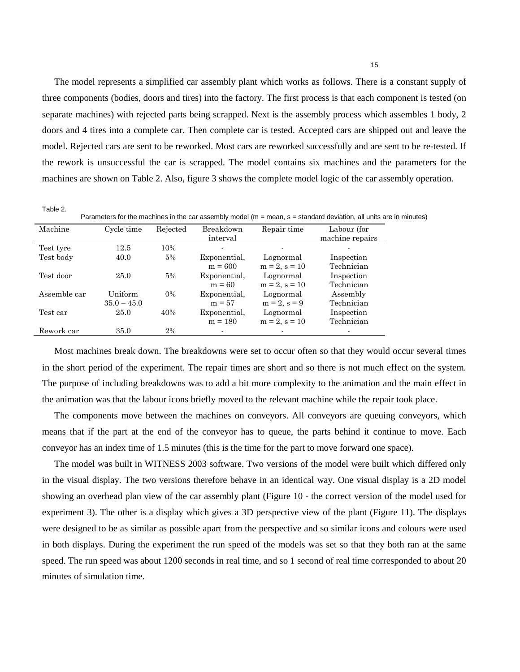The model represents a simplified car assembly plant which works as follows. There is a constant supply of three components (bodies, doors and tires) into the factory. The first process is that each component is tested (on separate machines) with rejected parts being scrapped. Next is the assembly process which assembles 1 body, 2 doors and 4 tires into a complete car. Then complete car is tested. Accepted cars are shipped out and leave the model. Rejected cars are sent to be reworked. Most cars are reworked successfully and are sent to be re-tested. If the rework is unsuccessful the car is scrapped. The model contains six machines and the parameters for the machines are shown on Table 2. Also, figure 3 shows the complete model logic of the car assembly operation.

Table 2.

Parameters for the machines in the car assembly model (m = mean, s = standard deviation, all units are in minutes)

| Machine      | Cycle time    | Rejected | Breakdown                | Repair time        | Labour (for              |
|--------------|---------------|----------|--------------------------|--------------------|--------------------------|
|              |               |          | interval                 |                    | machine repairs          |
| Test tyre    | 12.5          | 10%      | $\overline{\phantom{a}}$ |                    |                          |
| Test body    | 40.0          | 5%       | Exponential.             | Lognormal          | Inspection               |
|              |               |          | $m = 600$                | $m = 2$ , $s = 10$ | Technician               |
| Test door    | 25.0          | 5%       | Exponential.             | Lognormal          | Inspection               |
|              |               |          | $m = 60$                 | $m = 2$ , $s = 10$ | Technician               |
| Assemble car | Uniform       | $0\%$    | Exponential,             | Lognormal          | Assembly                 |
|              | $35.0 - 45.0$ |          | $m = 57$                 | $m = 2$ , $s = 9$  | Technician               |
| Test car     | 25.0          | 40%      | Exponential.             | Lognormal          | Inspection               |
|              |               |          | $m = 180$                | $m = 2$ , $s = 10$ | Technician               |
| Rework car   | 35.0          | 2%       | $\blacksquare$           |                    | $\overline{\phantom{a}}$ |

Most machines break down. The breakdowns were set to occur often so that they would occur several times in the short period of the experiment. The repair times are short and so there is not much effect on the system. The purpose of including breakdowns was to add a bit more complexity to the animation and the main effect in the animation was that the labour icons briefly moved to the relevant machine while the repair took place.

The components move between the machines on conveyors. All conveyors are queuing conveyors, which means that if the part at the end of the conveyor has to queue, the parts behind it continue to move. Each conveyor has an index time of 1.5 minutes (this is the time for the part to move forward one space).

The model was built in WITNESS 2003 software. Two versions of the model were built which differed only in the visual display. The two versions therefore behave in an identical way. One visual display is a 2D model showing an overhead plan view of the car assembly plant (Figure 10 - the correct version of the model used for experiment 3). The other is a display which gives a 3D perspective view of the plant (Figure 11). The displays were designed to be as similar as possible apart from the perspective and so similar icons and colours were used in both displays. During the experiment the run speed of the models was set so that they both ran at the same speed. The run speed was about 1200 seconds in real time, and so 1 second of real time corresponded to about 20 minutes of simulation time.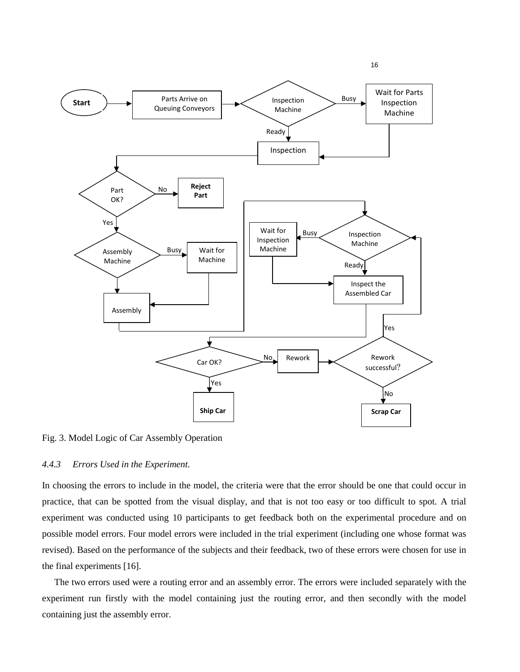

Fig. 3. Model Logic of Car Assembly Operation

### *4.4.3 Errors Used in the Experiment.*

In choosing the errors to include in the model, the criteria were that the error should be one that could occur in practice, that can be spotted from the visual display, and that is not too easy or too difficult to spot. A trial experiment was conducted using 10 participants to get feedback both on the experimental procedure and on possible model errors. Four model errors were included in the trial experiment (including one whose format was revised). Based on the performance of the subjects and their feedback, two of these errors were chosen for use in the final experiments [16].

The two errors used were a routing error and an assembly error. The errors were included separately with the experiment run firstly with the model containing just the routing error, and then secondly with the model containing just the assembly error.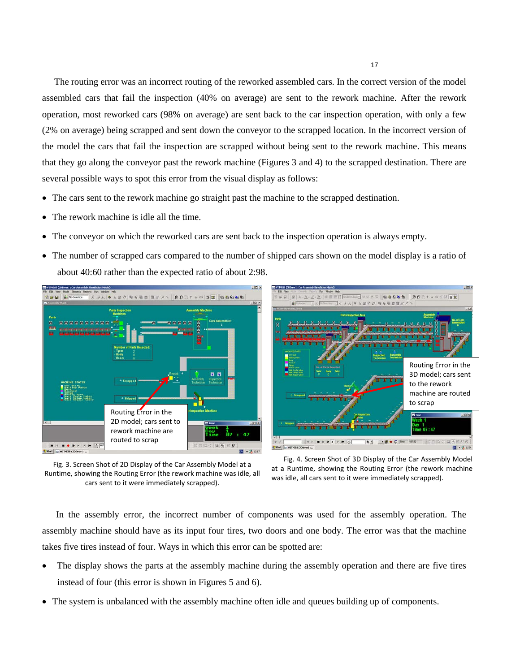The routing error was an incorrect routing of the reworked assembled cars. In the correct version of the model assembled cars that fail the inspection (40% on average) are sent to the rework machine. After the rework operation, most reworked cars (98% on average) are sent back to the car inspection operation, with only a few (2% on average) being scrapped and sent down the conveyor to the scrapped location. In the incorrect version of the model the cars that fail the inspection are scrapped without being sent to the rework machine. This means that they go along the conveyor past the rework machine (Figures 3 and 4) to the scrapped destination. There are several possible ways to spot this error from the visual display as follows:

- The cars sent to the rework machine go straight past the machine to the scrapped destination.
- The rework machine is idle all the time.
- The conveyor on which the reworked cars are sent back to the inspection operation is always empty.
- The number of scrapped cars compared to the number of shipped cars shown on the model display is a ratio of about 40:60 rather than the expected ratio of about 2:98.





Fig. 3. Screen Shot of 2D Display of the Car Assembly Model at a Runtime, showing the Routing Error (the rework machine was idle, all cars sent to it were immediately scrapped).

Fig. 4. Screen Shot of 3D Display of the Car Assembly Model at a Runtime, showing the Routing Error (the rework machine was idle, all cars sent to it were immediately scrapped).

 In the assembly error, the incorrect number of components was used for the assembly operation. The assembly machine should have as its input four tires, two doors and one body. The error was that the machine takes five tires instead of four. Ways in which this error can be spotted are:

- The display shows the parts at the assembly machine during the assembly operation and there are five tires instead of four (this error is shown in Figures 5 and 6).
- The system is unbalanced with the assembly machine often idle and queues building up of components.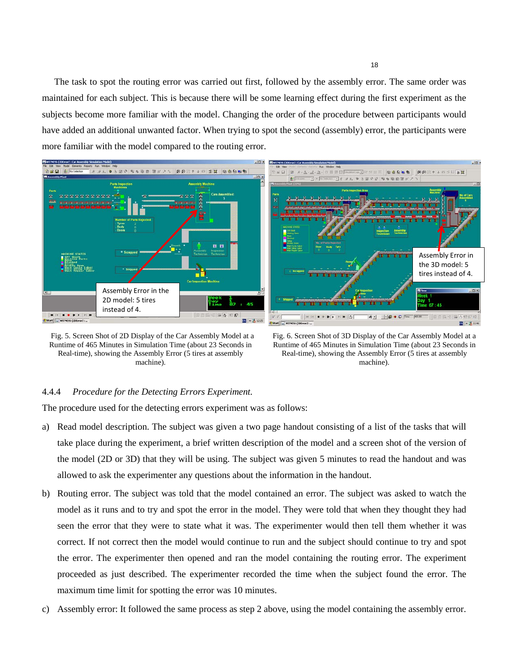The task to spot the routing error was carried out first, followed by the assembly error. The same order was maintained for each subject. This is because there will be some learning effect during the first experiment as the subjects become more familiar with the model. Changing the order of the procedure between participants would have added an additional unwanted factor. When trying to spot the second (assembly) error, the participants were more familiar with the model compared to the routing error.



 Fig. 5. Screen Shot of 2D Display of the Car Assembly Model at a Runtime of 465 Minutes in Simulation Time (about 23 Seconds in Real-time), showing the Assembly Error (5 tires at assembly machine).

Fig. 6. Screen Shot of 3D Display of the Car Assembly Model at a Runtime of 465 Minutes in Simulation Time (about 23 Seconds in Real-time), showing the Assembly Error (5 tires at assembly machine).

### 4.4.4 *Procedure for the Detecting Errors Experiment.*

The procedure used for the detecting errors experiment was as follows:

- a) Read model description. The subject was given a two page handout consisting of a list of the tasks that will take place during the experiment, a brief written description of the model and a screen shot of the version of the model (2D or 3D) that they will be using. The subject was given 5 minutes to read the handout and was allowed to ask the experimenter any questions about the information in the handout.
- b) Routing error. The subject was told that the model contained an error. The subject was asked to watch the model as it runs and to try and spot the error in the model. They were told that when they thought they had seen the error that they were to state what it was. The experimenter would then tell them whether it was correct. If not correct then the model would continue to run and the subject should continue to try and spot the error. The experimenter then opened and ran the model containing the routing error. The experiment proceeded as just described. The experimenter recorded the time when the subject found the error. The maximum time limit for spotting the error was 10 minutes.
- c) Assembly error: It followed the same process as step 2 above, using the model containing the assembly error.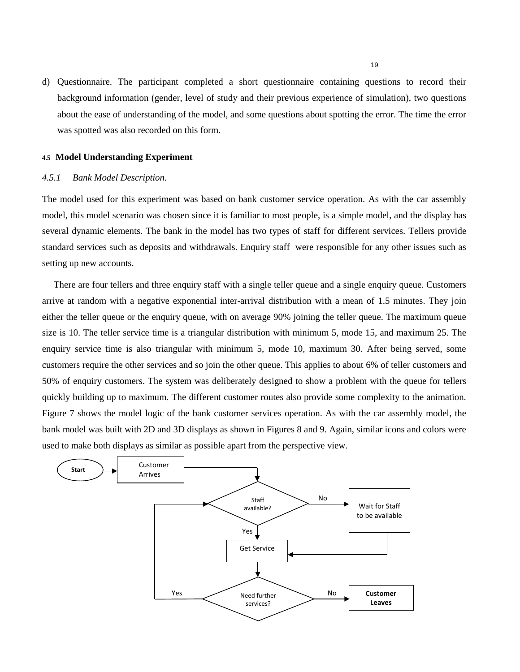d) Questionnaire. The participant completed a short questionnaire containing questions to record their background information (gender, level of study and their previous experience of simulation), two questions about the ease of understanding of the model, and some questions about spotting the error. The time the error was spotted was also recorded on this form.

#### **4.5 Model Understanding Experiment**

#### *4.5.1 Bank Model Description.*

The model used for this experiment was based on bank customer service operation. As with the car assembly model, this model scenario was chosen since it is familiar to most people, is a simple model, and the display has several dynamic elements. The bank in the model has two types of staff for different services. Tellers provide standard services such as deposits and withdrawals. Enquiry staff were responsible for any other issues such as setting up new accounts.

 There are four tellers and three enquiry staff with a single teller queue and a single enquiry queue. Customers arrive at random with a negative exponential inter-arrival distribution with a mean of 1.5 minutes. They join either the teller queue or the enquiry queue, with on average 90% joining the teller queue. The maximum queue size is 10. The teller service time is a triangular distribution with minimum 5, mode 15, and maximum 25. The enquiry service time is also triangular with minimum 5, mode 10, maximum 30. After being served, some customers require the other services and so join the other queue. This applies to about 6% of teller customers and 50% of enquiry customers. The system was deliberately designed to show a problem with the queue for tellers quickly building up to maximum. The different customer routes also provide some complexity to the animation. Figure 7 shows the model logic of the bank customer services operation. As with the car assembly model, the bank model was built with 2D and 3D displays as shown in Figures 8 and 9. Again, similar icons and colors were used to make both displays as similar as possible apart from the perspective view.

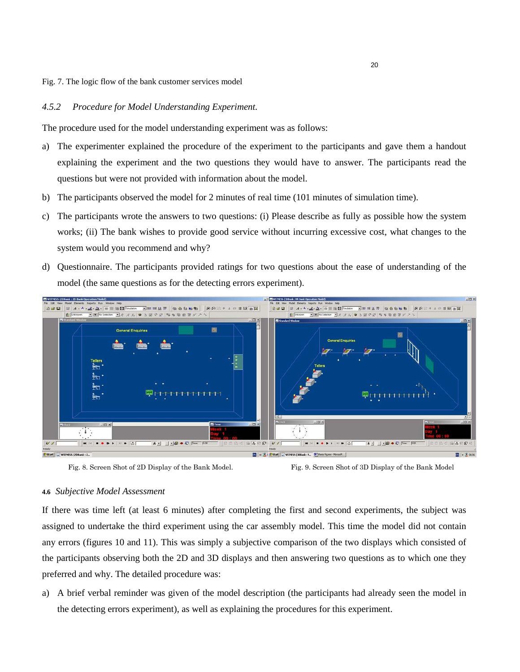Fig. 7. The logic flow of the bank customer services model

#### *4.5.2 Procedure for Model Understanding Experiment.*

The procedure used for the model understanding experiment was as follows:

- a) The experimenter explained the procedure of the experiment to the participants and gave them a handout explaining the experiment and the two questions they would have to answer. The participants read the questions but were not provided with information about the model.
- b) The participants observed the model for 2 minutes of real time (101 minutes of simulation time).
- c) The participants wrote the answers to two questions: (i) Please describe as fully as possible how the system works; (ii) The bank wishes to provide good service without incurring excessive cost, what changes to the system would you recommend and why?
- d) Questionnaire. The participants provided ratings for two questions about the ease of understanding of the model (the same questions as for the detecting errors experiment).



Fig. 8. Screen Shot of 2D Display of the Bank Model. Fig. 9. Screen Shot of 3D Display of the Bank Model

### **4.6** *Subjective Model Assessment*

If there was time left (at least 6 minutes) after completing the first and second experiments, the subject was assigned to undertake the third experiment using the car assembly model. This time the model did not contain any errors (figures 10 and 11). This was simply a subjective comparison of the two displays which consisted of the participants observing both the 2D and 3D displays and then answering two questions as to which one they preferred and why. The detailed procedure was:

a) A brief verbal reminder was given of the model description (the participants had already seen the model in the detecting errors experiment), as well as explaining the procedures for this experiment.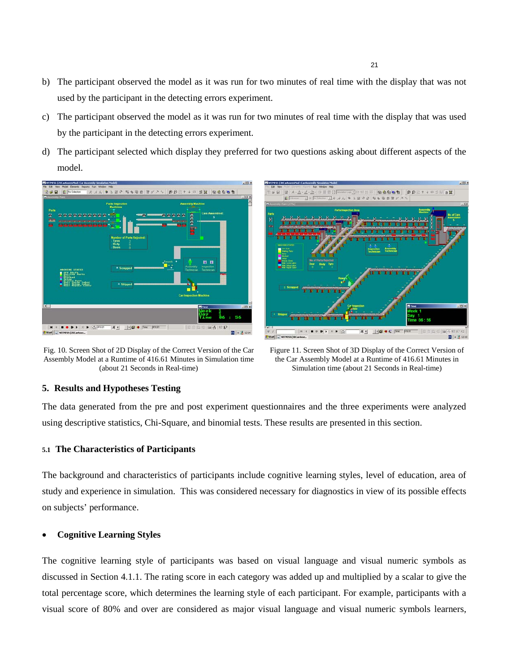- b) The participant observed the model as it was run for two minutes of real time with the display that was not used by the participant in the detecting errors experiment.
- c) The participant observed the model as it was run for two minutes of real time with the display that was used by the participant in the detecting errors experiment.
- d) The participant selected which display they preferred for two questions asking about different aspects of the model.



Fig. 10. Screen Shot of 2D Display of the Correct Version of the Car Assembly Model at a Runtime of 416.61 Minutes in Simulation time (about 21 Seconds in Real-time)



Figure 11. Screen Shot of 3D Display of the Correct Version of the Car Assembly Model at a Runtime of 416.61 Minutes in Simulation time (about 21 Seconds in Real-time)

### **5. Results and Hypotheses Testing**

The data generated from the pre and post experiment questionnaires and the three experiments were analyzed using descriptive statistics, Chi-Square, and binomial tests. These results are presented in this section.

### **5.1 The Characteristics of Participants**

The background and characteristics of participants include cognitive learning styles, level of education, area of study and experience in simulation. This was considered necessary for diagnostics in view of its possible effects on subjects' performance.

# • **Cognitive Learning Styles**

The cognitive learning style of participants was based on visual language and visual numeric symbols as discussed in Section 4.1.1. The rating score in each category was added up and multiplied by a scalar to give the total percentage score, which determines the learning style of each participant. For example, participants with a visual score of 80% and over are considered as major visual language and visual numeric symbols learners,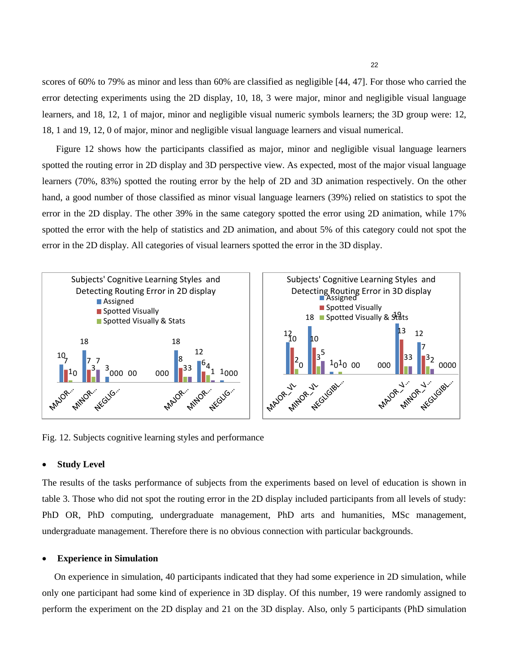scores of 60% to 79% as minor and less than 60% are classified as negligible [44, 47]. For those who carried the error detecting experiments using the 2D display, 10, 18, 3 were major, minor and negligible visual language learners, and 18, 12, 1 of major, minor and negligible visual numeric symbols learners; the 3D group were: 12, 18, 1 and 19, 12, 0 of major, minor and negligible visual language learners and visual numerical.

 Figure 12 shows how the participants classified as major, minor and negligible visual language learners spotted the routing error in 2D display and 3D perspective view. As expected, most of the major visual language learners (70%, 83%) spotted the routing error by the help of 2D and 3D animation respectively. On the other hand, a good number of those classified as minor visual language learners (39%) relied on statistics to spot the error in the 2D display. The other 39% in the same category spotted the error using 2D animation, while 17% spotted the error with the help of statistics and 2D animation, and about 5% of this category could not spot the error in the 2D display. All categories of visual learners spotted the error in the 3D display.



Fig. 12. Subjects cognitive learning styles and performance

### • **Study Level**

The results of the tasks performance of subjects from the experiments based on level of education is shown in table 3. Those who did not spot the routing error in the 2D display included participants from all levels of study: PhD OR, PhD computing, undergraduate management, PhD arts and humanities, MSc management, undergraduate management. Therefore there is no obvious connection with particular backgrounds.

#### • **Experience in Simulation**

On experience in simulation, 40 participants indicated that they had some experience in 2D simulation, while only one participant had some kind of experience in 3D display. Of this number, 19 were randomly assigned to perform the experiment on the 2D display and 21 on the 3D display. Also, only 5 participants (PhD simulation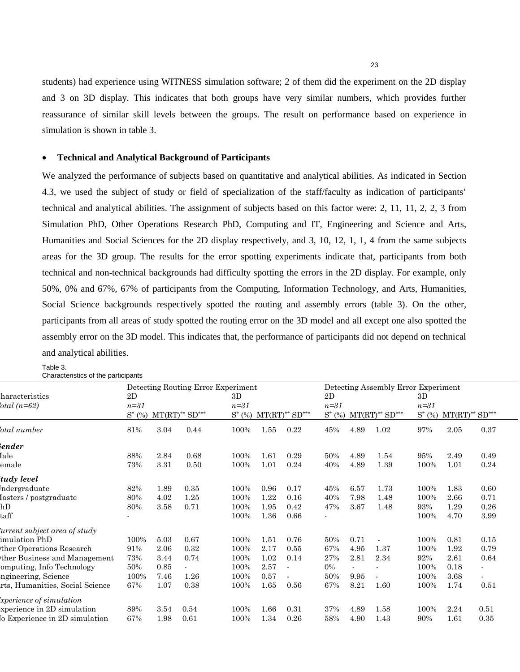students) had experience using WITNESS simulation software; 2 of them did the experiment on the 2D display and 3 on 3D display. This indicates that both groups have very similar numbers, which provides further reassurance of similar skill levels between the groups. The result on performance based on experience in simulation is shown in table 3.

### • **Technical and Analytical Background of Participants**

We analyzed the performance of subjects based on quantitative and analytical abilities. As indicated in Section 4.3, we used the subject of study or field of specialization of the staff/faculty as indication of participants' technical and analytical abilities. The assignment of subjects based on this factor were: 2, 11, 11, 2, 2, 3 from Simulation PhD, Other Operations Research PhD, Computing and IT, Engineering and Science and Arts, Humanities and Social Sciences for the 2D display respectively, and 3, 10, 12, 1, 1, 4 from the same subjects areas for the 3D group. The results for the error spotting experiments indicate that, participants from both technical and non-technical backgrounds had difficulty spotting the errors in the 2D display. For example, only 50%, 0% and 67%, 67% of participants from the Computing, Information Technology, and Arts, Humanities, Social Science backgrounds respectively spotted the routing and assembly errors (table 3). On the other, participants from all areas of study spotted the routing error on the 3D model and all except one also spotted the assembly error on the 3D model. This indicates that, the performance of participants did not depend on technical and analytical abilities.

Table 3. Characteristics of the participants

|                                 |          |      | Detecting Routing Error Experiment |           |      |                                            |              |      | Detecting Assembly Error Experiment |         |                  |      |  |
|---------------------------------|----------|------|------------------------------------|-----------|------|--------------------------------------------|--------------|------|-------------------------------------|---------|------------------|------|--|
| haracteristics                  | 2D       |      |                                    | 3D        |      |                                            | 2D           |      |                                     | 3D      |                  |      |  |
| $\it{total}$ (n=62)             | $n = 31$ |      |                                    | $n=31$    |      |                                            | $n = 31$     |      |                                     | $n=31$  |                  |      |  |
|                                 | $S^*(%$  |      | $MT(RT)** SD***$                   | $S^*(% )$ |      | $MT(RT)$ <sup>**</sup> $SD$ <sup>***</sup> | $S^*$<br>(%) |      | $MT(RT)** SD***$                    | $S^*(%$ | $MT(RT)** SD***$ |      |  |
| 'otal number                    | 81%      | 3.04 | 0.44                               | 100%      | 1.55 | 0.22                                       | 45%          | 4.89 | 1.02                                | 97%     | 2.05             | 0.37 |  |
| iender                          |          |      |                                    |           |      |                                            |              |      |                                     |         |                  |      |  |
| Iale                            | 88%      | 2.84 | 0.68                               | 100%      | 1.61 | 0.29                                       | 50%          | 4.89 | 1.54                                | 95%     | 2.49             | 0.49 |  |
| emale                           | 73%      | 3.31 | 0.50                               | 100%      | 1.01 | 0.24                                       | 40%          | 4.89 | 1.39                                | 100%    | 1.01             | 0.24 |  |
| tudy level                      |          |      |                                    |           |      |                                            |              |      |                                     |         |                  |      |  |
| ndergraduate                    | 82%      | 1.89 | 0.35                               | 100%      | 0.96 | 0.17                                       | 45%          | 6.57 | 1.73                                | 100%    | 1.83             | 0.60 |  |
| lasters / postgraduate          | 80%      | 4.02 | 1.25                               | 100%      | 1.22 | 0.16                                       | 40%          | 7.98 | 1.48                                | 100%    | 2.66             | 0.71 |  |
| hD                              | 80%      | 3.58 | 0.71                               | 100%      | 1.95 | 0.42                                       | 47%          | 3.67 | 1.48                                | 93%     | 1.29             | 0.26 |  |
| $\text{taff}$                   |          |      |                                    | 100%      | 1.36 | 0.66                                       |              |      |                                     | 100%    | 4.70             | 3.99 |  |
| urrent subject area of study    |          |      |                                    |           |      |                                            |              |      |                                     |         |                  |      |  |
| imulation PhD                   | 100%     | 5.03 | 0.67                               | 100%      | 1.51 | 0.76                                       | 50%          | 0.71 |                                     | 100%    | 0.81             | 0.15 |  |
| ther Operations Research        | 91%      | 2.06 | 0.32                               | 100%      | 2.17 | 0.55                                       | 67%          | 4.95 | 1.37                                | 100%    | 1.92             | 0.79 |  |
| ther Business and Management    | 73%      | 3.44 | 0.74                               | 100%      | 1.02 | 0.14                                       | 27%          | 2.81 | 2.34                                | 92%     | 2.61             | 0.64 |  |
| omputing, Info Technology       | 50%      | 0.85 |                                    | 100%      | 2.57 |                                            | 0%           |      |                                     | 100%    | 0.18             |      |  |
| ngineering, Science             | 100%     | 7.46 | 1.26                               | 100%      | 0.57 |                                            | 50%          | 9.95 |                                     | 100%    | 3.68             |      |  |
| rts, Humanities, Social Science | 67%      | 1.07 | 0.38                               | 100%      | 1.65 | 0.56                                       | 67%          | 8.21 | 1.60                                | 100%    | 1.74             | 0.51 |  |
| xperience of simulation         |          |      |                                    |           |      |                                            |              |      |                                     |         |                  |      |  |
| xperience in 2D simulation      | 89%      | 3.54 | 0.54                               | 100%      | 1.66 | 0.31                                       | 37%          | 4.89 | 1.58                                | 100%    | 2.24             | 0.51 |  |
| lo Experience in 2D simulation  | 67%      | 1.98 | 0.61                               | 100%      | 1.34 | 0.26                                       | 58%          | 4.90 | 1.43                                | 90%     | 1.61             | 0.35 |  |
|                                 |          |      |                                    |           |      |                                            |              |      |                                     |         |                  |      |  |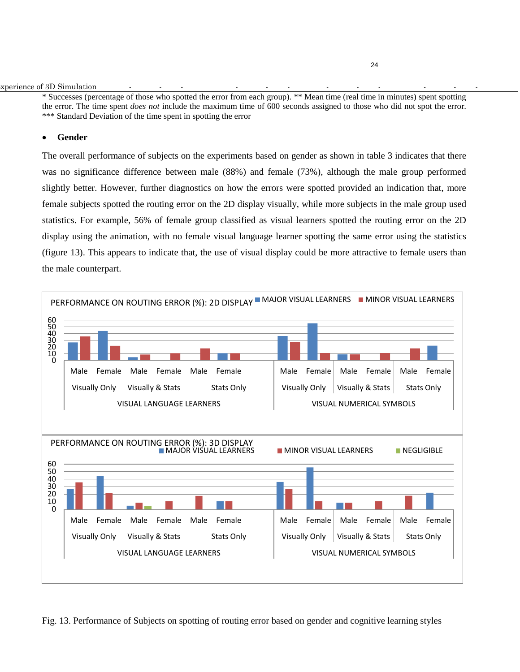#### xperience of 3D Simulation

\* Successes (percentage of those who spotted the error from each group). \*\* Mean time (real time in minutes) spent spotting the error. The time spent *does not* include the maximum time of 600 seconds assigned to those who did not spot the error. \*\*\* Standard Deviation of the time spent in spotting the error

#### • **Gender**

The overall performance of subjects on the experiments based on gender as shown in table 3 indicates that there was no significance difference between male (88%) and female (73%), although the male group performed slightly better. However, further diagnostics on how the errors were spotted provided an indication that, more female subjects spotted the routing error on the 2D display visually, while more subjects in the male group used statistics. For example, 56% of female group classified as visual learners spotted the routing error on the 2D display using the animation, with no female visual language learner spotting the same error using the statistics (figure 13). This appears to indicate that, the use of visual display could be more attractive to female users than the male counterpart.



Fig. 13. Performance of Subjects on spotting of routing error based on gender and cognitive learning styles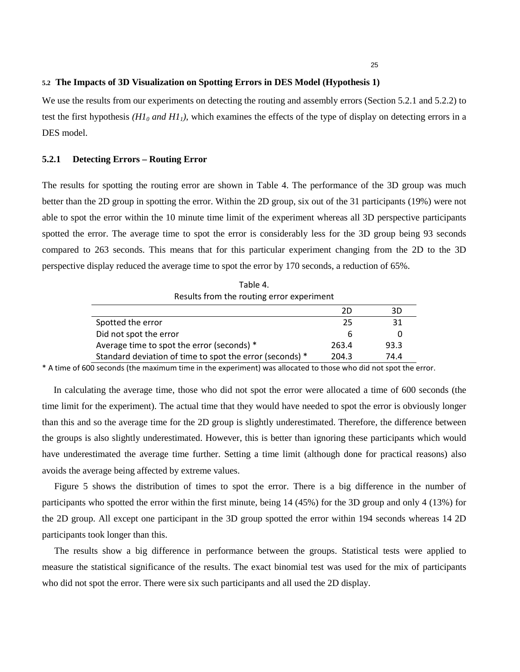#### **5.2 The Impacts of 3D Visualization on Spotting Errors in DES Model (Hypothesis 1)**

We use the results from our experiments on detecting the routing and assembly errors (Section 5.2.1 and 5.2.2) to test the first hypothesis  $(Hl_0$  *and*  $Hl_1$ ), which examines the effects of the type of display on detecting errors in a DES model.

#### **5.2.1 Detecting Errors – Routing Error**

The results for spotting the routing error are shown in Table 4. The performance of the 3D group was much better than the 2D group in spotting the error. Within the 2D group, six out of the 31 participants (19%) were not able to spot the error within the 10 minute time limit of the experiment whereas all 3D perspective participants spotted the error. The average time to spot the error is considerably less for the 3D group being 93 seconds compared to 263 seconds. This means that for this particular experiment changing from the 2D to the 3D perspective display reduced the average time to spot the error by 170 seconds, a reduction of 65%.

| Table 4.                                  |
|-------------------------------------------|
| Results from the routing error experiment |

|                                                          | חל    | 3D   |
|----------------------------------------------------------|-------|------|
| Spotted the error                                        | 25    | 31   |
| Did not spot the error                                   | h     |      |
| Average time to spot the error (seconds) *               | 263.4 | 93.3 |
| Standard deviation of time to spot the error (seconds) * | 204.3 | 74.4 |

\* A time of 600 seconds (the maximum time in the experiment) was allocated to those who did not spot the error.

 In calculating the average time, those who did not spot the error were allocated a time of 600 seconds (the time limit for the experiment). The actual time that they would have needed to spot the error is obviously longer than this and so the average time for the 2D group is slightly underestimated. Therefore, the difference between the groups is also slightly underestimated. However, this is better than ignoring these participants which would have underestimated the average time further. Setting a time limit (although done for practical reasons) also avoids the average being affected by extreme values.

Figure 5 shows the distribution of times to spot the error. There is a big difference in the number of participants who spotted the error within the first minute, being 14 (45%) for the 3D group and only 4 (13%) for the 2D group. All except one participant in the 3D group spotted the error within 194 seconds whereas 14 2D participants took longer than this.

The results show a big difference in performance between the groups. Statistical tests were applied to measure the statistical significance of the results. The exact binomial test was used for the mix of participants who did not spot the error. There were six such participants and all used the 2D display.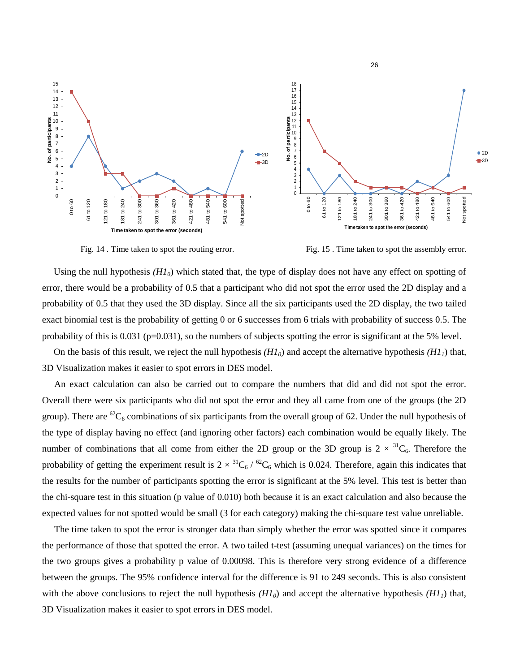

Fig. 14 . Time taken to spot the routing error. Fig. 15 . Time taken to spot the assembly error.

 Using the null hypothesis *(H10*) which stated that, the type of display does not have any effect on spotting of error, there would be a probability of 0.5 that a participant who did not spot the error used the 2D display and a probability of 0.5 that they used the 3D display. Since all the six participants used the 2D display, the two tailed exact binomial test is the probability of getting 0 or 6 successes from 6 trials with probability of success 0.5. The probability of this is 0.031 (p=0.031), so the numbers of subjects spotting the error is significant at the 5% level.

On the basis of this result, we reject the null hypothesis  $(H1_0)$  and accept the alternative hypothesis  $(H1_1)$  that, 3D Visualization makes it easier to spot errors in DES model.

An exact calculation can also be carried out to compare the numbers that did and did not spot the error. Overall there were six participants who did not spot the error and they all came from one of the groups (the 2D group). There are <sup>62</sup>C<sub>6</sub> combinations of six participants from the overall group of 62. Under the null hypothesis of the type of display having no effect (and ignoring other factors) each combination would be equally likely. The number of combinations that all come from either the 2D group or the 3D group is  $2 \times {}^{31}C_6$ . Therefore the probability of getting the experiment result is  $2 \times {}^{31}C_6$  /  ${}^{62}C_6$  which is 0.024. Therefore, again this indicates that the results for the number of participants spotting the error is significant at the 5% level. This test is better than the chi-square test in this situation (p value of 0.010) both because it is an exact calculation and also because the expected values for not spotted would be small (3 for each category) making the chi-square test value unreliable.

The time taken to spot the error is stronger data than simply whether the error was spotted since it compares the performance of those that spotted the error. A two tailed t-test (assuming unequal variances) on the times for the two groups gives a probability p value of 0.00098. This is therefore very strong evidence of a difference between the groups. The 95% confidence interval for the difference is 91 to 249 seconds. This is also consistent with the above conclusions to reject the null hypothesis  $(H_0)$  and accept the alternative hypothesis  $(H_1)$  that, 3D Visualization makes it easier to spot errors in DES model.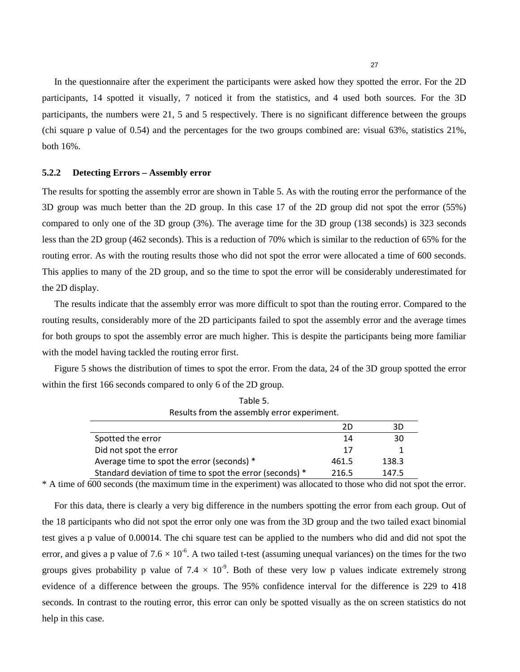In the questionnaire after the experiment the participants were asked how they spotted the error. For the 2D participants, 14 spotted it visually, 7 noticed it from the statistics, and 4 used both sources. For the 3D participants, the numbers were 21, 5 and 5 respectively. There is no significant difference between the groups (chi square p value of 0.54) and the percentages for the two groups combined are: visual 63%, statistics 21%, both 16%.

#### **5.2.2 Detecting Errors – Assembly error**

The results for spotting the assembly error are shown in Table 5. As with the routing error the performance of the 3D group was much better than the 2D group. In this case 17 of the 2D group did not spot the error (55%) compared to only one of the 3D group (3%). The average time for the 3D group (138 seconds) is 323 seconds less than the 2D group (462 seconds). This is a reduction of 70% which is similar to the reduction of 65% for the routing error. As with the routing results those who did not spot the error were allocated a time of 600 seconds. This applies to many of the 2D group, and so the time to spot the error will be considerably underestimated for the 2D display.

The results indicate that the assembly error was more difficult to spot than the routing error. Compared to the routing results, considerably more of the 2D participants failed to spot the assembly error and the average times for both groups to spot the assembly error are much higher. This is despite the participants being more familiar with the model having tackled the routing error first.

Figure 5 shows the distribution of times to spot the error. From the data, 24 of the 3D group spotted the error within the first 166 seconds compared to only 6 of the 2D group.

| Results from the assembly error experiment.              |       |       |  |  |  |  |  |
|----------------------------------------------------------|-------|-------|--|--|--|--|--|
|                                                          | 2D    | 3D    |  |  |  |  |  |
| Spotted the error                                        | 14    | 30    |  |  |  |  |  |
| Did not spot the error                                   | 17    |       |  |  |  |  |  |
| Average time to spot the error (seconds) *               | 461.5 | 138.3 |  |  |  |  |  |
| Standard deviation of time to spot the error (seconds) * | 216.5 | 147.5 |  |  |  |  |  |

Table 5. Results from the assembly

\* A time of 600 seconds (the maximum time in the experiment) was allocated to those who did not spot the error.

For this data, there is clearly a very big difference in the numbers spotting the error from each group. Out of the 18 participants who did not spot the error only one was from the 3D group and the two tailed exact binomial test gives a p value of 0.00014. The chi square test can be applied to the numbers who did and did not spot the error, and gives a p value of  $7.6 \times 10^{-6}$ . A two tailed t-test (assuming unequal variances) on the times for the two groups gives probability p value of 7.4  $\times$  10<sup>-9</sup>. Both of these very low p values indicate extremely strong evidence of a difference between the groups. The 95% confidence interval for the difference is 229 to 418 seconds. In contrast to the routing error, this error can only be spotted visually as the on screen statistics do not help in this case.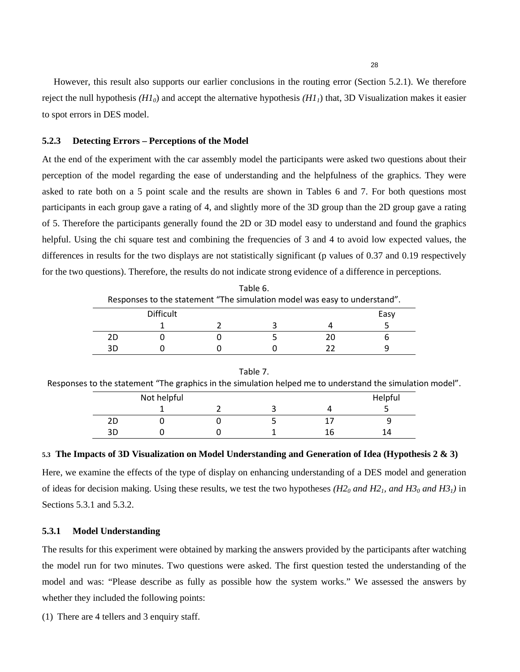28

 However, this result also supports our earlier conclusions in the routing error (Section 5.2.1). We therefore reject the null hypothesis  $(H1_0)$  and accept the alternative hypothesis  $(H1_1)$  that, 3D Visualization makes it easier to spot errors in DES model.

### **5.2.3 Detecting Errors – Perceptions of the Model**

At the end of the experiment with the car assembly model the participants were asked two questions about their perception of the model regarding the ease of understanding and the helpfulness of the graphics. They were asked to rate both on a 5 point scale and the results are shown in Tables 6 and 7. For both questions most participants in each group gave a rating of 4, and slightly more of the 3D group than the 2D group gave a rating of 5. Therefore the participants generally found the 2D or 3D model easy to understand and found the graphics helpful. Using the chi square test and combining the frequencies of 3 and 4 to avoid low expected values, the differences in results for the two displays are not statistically significant (p values of 0.37 and 0.19 respectively for the two questions). Therefore, the results do not indicate strong evidence of a difference in perceptions.

|    | Responses to the statement "The simulation model was easy to understand". |  |  |    |      |  |  |  |
|----|---------------------------------------------------------------------------|--|--|----|------|--|--|--|
|    | <b>Difficult</b>                                                          |  |  |    | Easy |  |  |  |
|    |                                                                           |  |  |    |      |  |  |  |
|    |                                                                           |  |  | 20 |      |  |  |  |
| ЗD |                                                                           |  |  |    |      |  |  |  |

| Table 6.                                                                  |  |
|---------------------------------------------------------------------------|--|
| Responses to the statement "The simulation model was easy to understand". |  |

|    |             | Table 7. |                                                                                                             |  |
|----|-------------|----------|-------------------------------------------------------------------------------------------------------------|--|
|    |             |          | ."Responses to the statement "The graphics in the simulation helped me to understand the simulation model". |  |
|    | Not helpful |          | Helpful                                                                                                     |  |
|    |             |          |                                                                                                             |  |
| חל |             |          |                                                                                                             |  |

#### **5.3 The Impacts of 3D Visualization on Model Understanding and Generation of Idea (Hypothesis 2 & 3)**

3D 0 0 1 16 14

Here, we examine the effects of the type of display on enhancing understanding of a DES model and generation of ideas for decision making. Using these results, we test the two hypotheses *(H20 and H21, and H30 and H31)* in Sections 5.3.1 and 5.3.2.

#### **5.3.1 Model Understanding**

The results for this experiment were obtained by marking the answers provided by the participants after watching the model run for two minutes. Two questions were asked. The first question tested the understanding of the model and was: "Please describe as fully as possible how the system works." We assessed the answers by whether they included the following points:

(1) There are 4 tellers and 3 enquiry staff.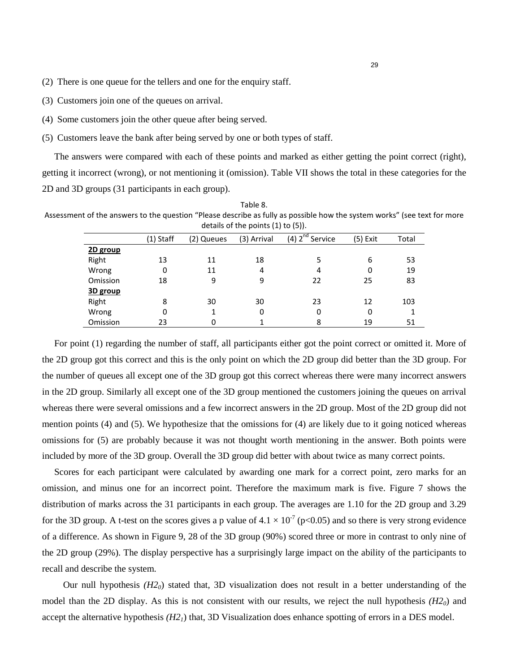- (2) There is one queue for the tellers and one for the enquiry staff.
- (3) Customers join one of the queues on arrival.
- (4) Some customers join the other queue after being served.
- (5) Customers leave the bank after being served by one or both types of staff.

The answers were compared with each of these points and marked as either getting the point correct (right), getting it incorrect (wrong), or not mentioning it (omission). Table VII shows the total in these categories for the 2D and 3D groups (31 participants in each group).

Table 8. Assessment of the answers to the question "Please describe as fully as possible how the system works" (see text for more

details of the points (1) to (5)). (1) Staff (2) Queues (3) Arrival (4)  $2^{nd}$  Service (5) Exit Total **2D group** Right 13 11 18 5 6 53 Wrong 0 11 4 4 0 19 Omission 18 9 9 22 25 83 **3D group** Right 8 30 30 23 12 103 Wrong 0 0 1 0 0 0 1 Omission 23 0 1 8 19 51

For point (1) regarding the number of staff, all participants either got the point correct or omitted it. More of the 2D group got this correct and this is the only point on which the 2D group did better than the 3D group. For the number of queues all except one of the 3D group got this correct whereas there were many incorrect answers in the 2D group. Similarly all except one of the 3D group mentioned the customers joining the queues on arrival whereas there were several omissions and a few incorrect answers in the 2D group. Most of the 2D group did not mention points (4) and (5). We hypothesize that the omissions for (4) are likely due to it going noticed whereas omissions for (5) are probably because it was not thought worth mentioning in the answer. Both points were included by more of the 3D group. Overall the 3D group did better with about twice as many correct points.

Scores for each participant were calculated by awarding one mark for a correct point, zero marks for an omission, and minus one for an incorrect point. Therefore the maximum mark is five. Figure 7 shows the distribution of marks across the 31 participants in each group. The averages are 1.10 for the 2D group and 3.29 for the 3D group. A t-test on the scores gives a p value of  $4.1 \times 10^{-7}$  (p<0.05) and so there is very strong evidence of a difference. As shown in Figure 9, 28 of the 3D group (90%) scored three or more in contrast to only nine of the 2D group (29%). The display perspective has a surprisingly large impact on the ability of the participants to recall and describe the system.

 Our null hypothesis *(H20*) stated that, 3D visualization does not result in a better understanding of the model than the 2D display. As this is not consistent with our results, we reject the null hypothesis *(H20*) and accept the alternative hypothesis  $(H2<sub>1</sub>)$  that, 3D Visualization does enhance spotting of errors in a DES model.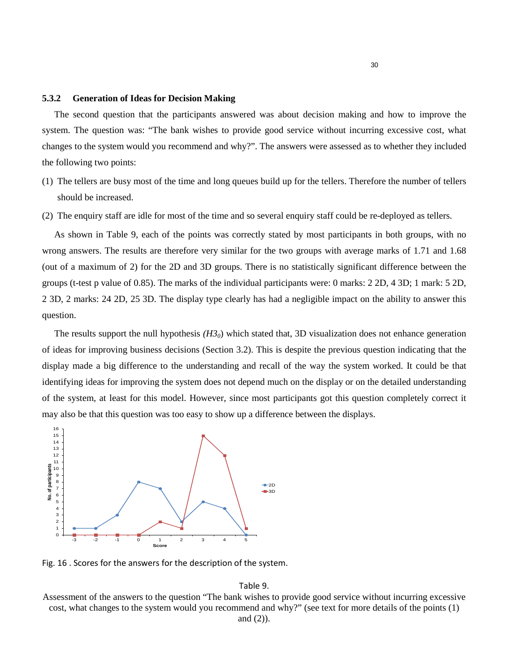#### **5.3.2 Generation of Ideas for Decision Making**

The second question that the participants answered was about decision making and how to improve the system. The question was: "The bank wishes to provide good service without incurring excessive cost, what changes to the system would you recommend and why?". The answers were assessed as to whether they included the following two points:

- (1) The tellers are busy most of the time and long queues build up for the tellers. Therefore the number of tellers should be increased.
- (2) The enquiry staff are idle for most of the time and so several enquiry staff could be re-deployed as tellers.

As shown in Table 9, each of the points was correctly stated by most participants in both groups, with no wrong answers. The results are therefore very similar for the two groups with average marks of 1.71 and 1.68 (out of a maximum of 2) for the 2D and 3D groups. There is no statistically significant difference between the groups (t-test p value of 0.85). The marks of the individual participants were: 0 marks: 2 2D, 4 3D; 1 mark: 5 2D, 2 3D, 2 marks: 24 2D, 25 3D. The display type clearly has had a negligible impact on the ability to answer this question.

The results support the null hypothesis  $(H3<sub>0</sub>)$  which stated that, 3D visualization does not enhance generation of ideas for improving business decisions (Section 3.2). This is despite the previous question indicating that the display made a big difference to the understanding and recall of the way the system worked. It could be that identifying ideas for improving the system does not depend much on the display or on the detailed understanding of the system, at least for this model. However, since most participants got this question completely correct it may also be that this question was too easy to show up a difference between the displays.



Fig. 16 . Scores for the answers for the description of the system.

#### Table 9.

Assessment of the answers to the question "The bank wishes to provide good service without incurring excessive cost, what changes to the system would you recommend and why?" (see text for more details of the points (1) and (2)).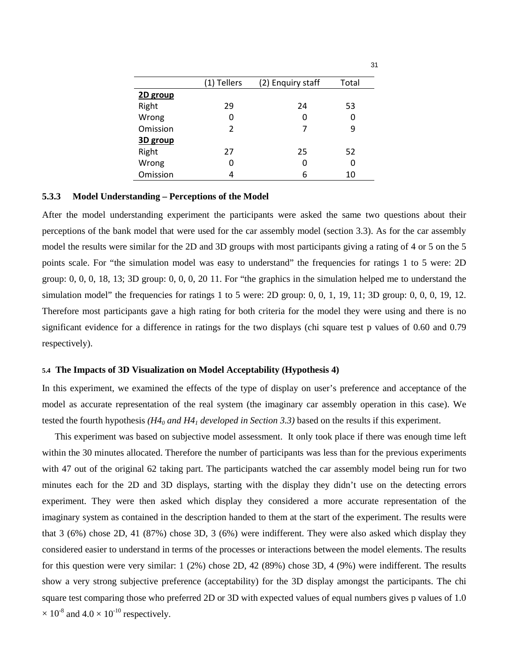|          |             |                   |       | ັ |
|----------|-------------|-------------------|-------|---|
|          | (1) Tellers | (2) Enquiry staff | Total |   |
| 2D group |             |                   |       |   |
| Right    | 29          | 24                | 53    |   |
| Wrong    | 0           | 0                 | O     |   |
| Omission | 2           | 7                 | 9     |   |
| 3D group |             |                   |       |   |
| Right    | 27          | 25                | 52    |   |
| Wrong    | 0           | 0                 |       |   |
| Omission | 4           | 6                 | 10    |   |

### **5.3.3 Model Understanding – Perceptions of the Model**

After the model understanding experiment the participants were asked the same two questions about their perceptions of the bank model that were used for the car assembly model (section 3.3). As for the car assembly model the results were similar for the 2D and 3D groups with most participants giving a rating of 4 or 5 on the 5 points scale. For "the simulation model was easy to understand" the frequencies for ratings 1 to 5 were: 2D group: 0, 0, 0, 18, 13; 3D group: 0, 0, 0, 20 11. For "the graphics in the simulation helped me to understand the simulation model" the frequencies for ratings 1 to 5 were:  $2D$  group: 0, 0, 1, 19, 11;  $3D$  group: 0, 0, 0, 19, 12. Therefore most participants gave a high rating for both criteria for the model they were using and there is no significant evidence for a difference in ratings for the two displays (chi square test p values of 0.60 and 0.79 respectively).

#### **5.4 The Impacts of 3D Visualization on Model Acceptability (Hypothesis 4)**

In this experiment, we examined the effects of the type of display on user's preference and acceptance of the model as accurate representation of the real system (the imaginary car assembly operation in this case). We tested the fourth hypothesis  $(H4_0 \text{ and } H4_1 \text{ developed in Section 3.3})$  based on the results if this experiment.

 This experiment was based on subjective model assessment. It only took place if there was enough time left within the 30 minutes allocated. Therefore the number of participants was less than for the previous experiments with 47 out of the original 62 taking part. The participants watched the car assembly model being run for two minutes each for the 2D and 3D displays, starting with the display they didn't use on the detecting errors experiment. They were then asked which display they considered a more accurate representation of the imaginary system as contained in the description handed to them at the start of the experiment. The results were that 3 (6%) chose 2D, 41 (87%) chose 3D, 3 (6%) were indifferent. They were also asked which display they considered easier to understand in terms of the processes or interactions between the model elements. The results for this question were very similar: 1 (2%) chose 2D, 42 (89%) chose 3D, 4 (9%) were indifferent. The results show a very strong subjective preference (acceptability) for the 3D display amongst the participants. The chi square test comparing those who preferred 2D or 3D with expected values of equal numbers gives p values of 1.0  $\times$  10<sup>-8</sup> and 4.0  $\times$  10<sup>-10</sup> respectively.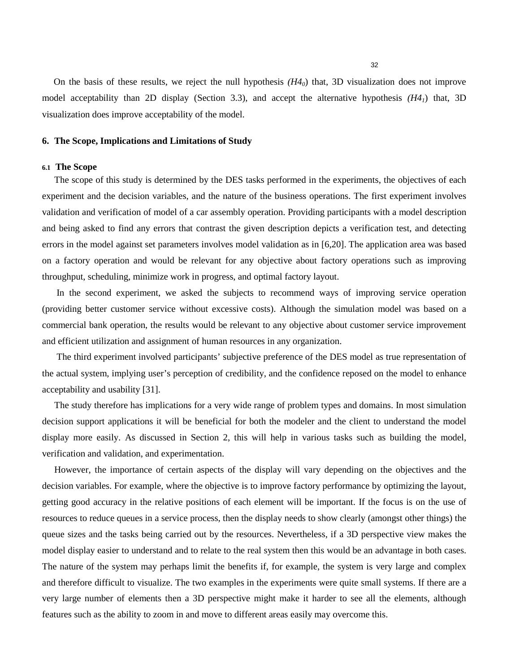On the basis of these results, we reject the null hypothesis  $(H4<sub>0</sub>)$  that, 3D visualization does not improve model acceptability than 2D display (Section 3.3), and accept the alternative hypothesis *(H41*) that, 3D visualization does improve acceptability of the model.

#### **6. The Scope, Implications and Limitations of Study**

#### **6.1 The Scope**

The scope of this study is determined by the DES tasks performed in the experiments, the objectives of each experiment and the decision variables, and the nature of the business operations. The first experiment involves validation and verification of model of a car assembly operation. Providing participants with a model description and being asked to find any errors that contrast the given description depicts a verification test, and detecting errors in the model against set parameters involves model validation as in [6,20]. The application area was based on a factory operation and would be relevant for any objective about factory operations such as improving throughput, scheduling, minimize work in progress, and optimal factory layout.

In the second experiment, we asked the subjects to recommend ways of improving service operation (providing better customer service without excessive costs). Although the simulation model was based on a commercial bank operation, the results would be relevant to any objective about customer service improvement and efficient utilization and assignment of human resources in any organization.

The third experiment involved participants' subjective preference of the DES model as true representation of the actual system, implying user's perception of credibility, and the confidence reposed on the model to enhance acceptability and usability [31].

The study therefore has implications for a very wide range of problem types and domains. In most simulation decision support applications it will be beneficial for both the modeler and the client to understand the model display more easily. As discussed in Section 2, this will help in various tasks such as building the model, verification and validation, and experimentation.

However, the importance of certain aspects of the display will vary depending on the objectives and the decision variables. For example, where the objective is to improve factory performance by optimizing the layout, getting good accuracy in the relative positions of each element will be important. If the focus is on the use of resources to reduce queues in a service process, then the display needs to show clearly (amongst other things) the queue sizes and the tasks being carried out by the resources. Nevertheless, if a 3D perspective view makes the model display easier to understand and to relate to the real system then this would be an advantage in both cases. The nature of the system may perhaps limit the benefits if, for example, the system is very large and complex and therefore difficult to visualize. The two examples in the experiments were quite small systems. If there are a very large number of elements then a 3D perspective might make it harder to see all the elements, although features such as the ability to zoom in and move to different areas easily may overcome this.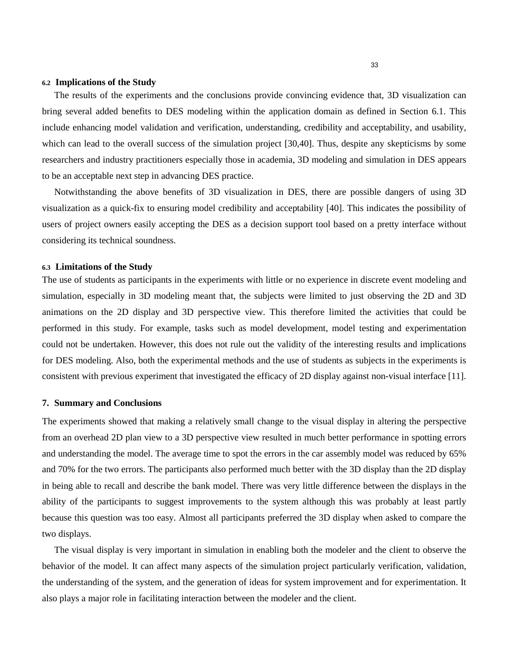#### **6.2 Implications of the Study**

The results of the experiments and the conclusions provide convincing evidence that, 3D visualization can bring several added benefits to DES modeling within the application domain as defined in Section 6.1. This include enhancing model validation and verification, understanding, credibility and acceptability, and usability, which can lead to the overall success of the simulation project [30,40]. Thus, despite any skepticisms by some researchers and industry practitioners especially those in academia, 3D modeling and simulation in DES appears to be an acceptable next step in advancing DES practice.

Notwithstanding the above benefits of 3D visualization in DES, there are possible dangers of using 3D visualization as a quick-fix to ensuring model credibility and acceptability [40]. This indicates the possibility of users of project owners easily accepting the DES as a decision support tool based on a pretty interface without considering its technical soundness.

#### **6.3 Limitations of the Study**

The use of students as participants in the experiments with little or no experience in discrete event modeling and simulation, especially in 3D modeling meant that, the subjects were limited to just observing the 2D and 3D animations on the 2D display and 3D perspective view. This therefore limited the activities that could be performed in this study. For example, tasks such as model development, model testing and experimentation could not be undertaken. However, this does not rule out the validity of the interesting results and implications for DES modeling. Also, both the experimental methods and the use of students as subjects in the experiments is consistent with previous experiment that investigated the efficacy of 2D display against non-visual interface [11].

#### **7. Summary and Conclusions**

The experiments showed that making a relatively small change to the visual display in altering the perspective from an overhead 2D plan view to a 3D perspective view resulted in much better performance in spotting errors and understanding the model. The average time to spot the errors in the car assembly model was reduced by 65% and 70% for the two errors. The participants also performed much better with the 3D display than the 2D display in being able to recall and describe the bank model. There was very little difference between the displays in the ability of the participants to suggest improvements to the system although this was probably at least partly because this question was too easy. Almost all participants preferred the 3D display when asked to compare the two displays.

The visual display is very important in simulation in enabling both the modeler and the client to observe the behavior of the model. It can affect many aspects of the simulation project particularly verification, validation, the understanding of the system, and the generation of ideas for system improvement and for experimentation. It also plays a major role in facilitating interaction between the modeler and the client.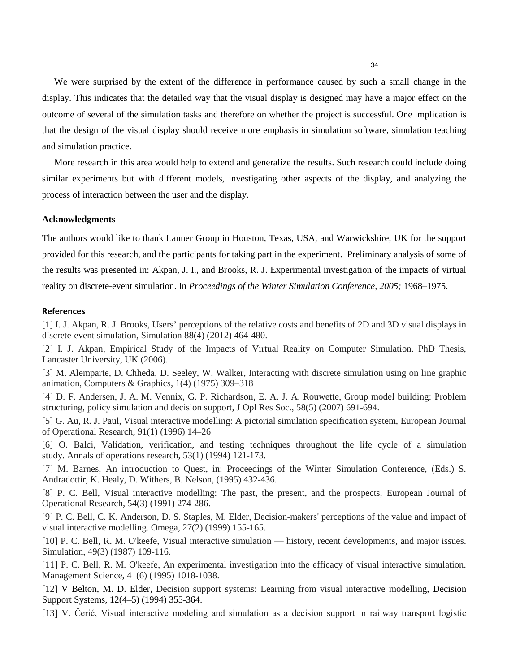We were surprised by the extent of the difference in performance caused by such a small change in the display. This indicates that the detailed way that the visual display is designed may have a major effect on the outcome of several of the simulation tasks and therefore on whether the project is successful. One implication is that the design of the visual display should receive more emphasis in simulation software, simulation teaching and simulation practice.

More research in this area would help to extend and generalize the results. Such research could include doing similar experiments but with different models, investigating other aspects of the display, and analyzing the process of interaction between the user and the display.

#### **Acknowledgments**

The authors would like to thank Lanner Group in Houston, Texas, USA, and Warwickshire, UK for the support provided for this research, and the participants for taking part in the experiment. Preliminary analysis of some of the results was presented in: Akpan, J. I., and Brooks, R. J. Experimental investigation of the impacts of virtual reality on discrete-event simulation. In *Proceedings of the Winter Simulation Conference, 2005;* 1968–1975.

#### **References**

[1] I. J. Akpan, R. J. Brooks, Users' perceptions of the relative costs and benefits of 2D and 3D visual displays in discrete-event simulation, Simulation 88(4) (2012) 464-480.

[2] I. J. Akpan, Empirical Study of the Impacts of Virtual Reality on Computer Simulation. PhD Thesis, Lancaster University, UK (2006).

[3] M. Alemparte, D. Chheda, D. Seeley, W. Walker, Interacting with discrete simulation using on line graphic animation, Computers & Graphics, 1(4) (1975) 309–318

[4] D. F. Andersen, J. A. M. Vennix, G. P. Richardson, E. A. J. A. Rouwette, Group model building: Problem structuring, policy simulation and decision support, J Opl Res Soc., 58(5) (2007) 691-694.

[5] G. Au, R. J. Paul, Visual interactive modelling: A pictorial simulation specification system, European Journal of Operational Research, 91(1) (1996) 14–26

[6] O. Balci, Validation, verification, and testing techniques throughout the life cycle of a simulation study. Annals of operations research, 53(1) (1994) 121-173.

[7] M. Barnes, An introduction to Quest, in: Proceedings of the Winter Simulation Conference, (Eds.) S. Andradottir, K. Healy, D. Withers, B. Nelson, (1995) 432-436.

[8] P. C. Bell, Visual interactive modelling: The past, the present, and the prospects, European Journal of Operational Research, 54(3) (1991) 274-286.

[9] P. C. Bell, C. K. Anderson, D. S. Staples, M. Elder, Decision-makers' perceptions of the value and impact of visual interactive modelling. Omega, 27(2) (1999) 155-165.

[10] P. C. Bell, R. M. O'keefe, Visual interactive simulation — history, recent developments, and major issues. Simulation, 49(3) (1987) 109-116.

[11] P. C. Bell, R. M. O'keefe, An experimental investigation into the efficacy of visual interactive simulation. Management Science, 41(6) (1995) 1018-1038.

[12] V Belton, M. D. Elder, Decision support systems: Learning from visual interactive modelling, Decision Support Systems, 12(4–5) (1994) 355-364.

[13] V. Čerić, Visual interactive modeling and simulation as a decision support in railway transport logistic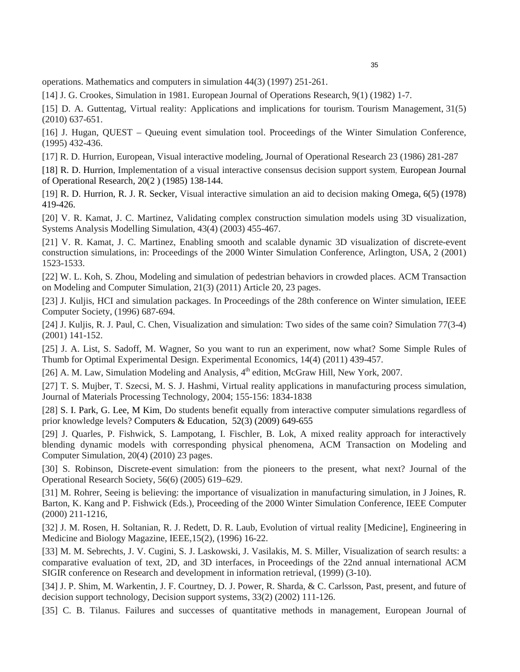operations. Mathematics and computers in simulation 44(3) (1997) 251-261.

[14] J. G. Crookes, Simulation in 1981. European Journal of Operations Research, 9(1) (1982) 1-7.

[15] D. A. Guttentag, Virtual reality: Applications and implications for tourism. Tourism Management, 31(5) (2010) 637-651.

[16] J. Hugan, QUEST – Queuing event simulation tool. Proceedings of the Winter Simulation Conference, (1995) 432-436.

[17] R. D. Hurrion, European, Visual interactive modeling, Journal of Operational Research 23 (1986) 281-287

[18] R. D. Hurrion, Implementation of a visual interactive consensus decision support system, European Journal of Operational Research, 20(2 ) (1985) 138-144.

[19] R. D. Hurrion, R. J. R. Secker, Visual interactive simulation an aid to decision making Omega, 6(5) (1978) 419-426.

[20] V. R. Kamat, J. C. Martinez, Validating complex construction simulation models using 3D visualization, Systems Analysis Modelling Simulation, 43(4) (2003) 455-467.

[21] V. R. Kamat, J. C. Martinez, Enabling smooth and scalable dynamic 3D visualization of discrete-event construction simulations, in: Proceedings of the 2000 Winter Simulation Conference, Arlington, USA, 2 (2001) 1523-1533.

[22] W. L. Koh, S. Zhou, Modeling and simulation of pedestrian behaviors in crowded places. ACM Transaction on Modeling and Computer Simulation, 21(3) (2011) Article 20, 23 pages.

[23] J. Kuljis, HCI and simulation packages. In Proceedings of the 28th conference on Winter simulation, IEEE Computer Society, (1996) 687-694.

[24] J. Kuljis, R. J. Paul, C. Chen, Visualization and simulation: Two sides of the same coin? Simulation 77(3-4) (2001) 141-152.

[25] J. A. List, S. Sadoff, M. Wagner, So you want to run an experiment, now what? Some Simple Rules of Thumb for Optimal Experimental Design. Experimental Economics, 14(4) (2011) 439-457.

[26] A. M. Law, Simulation Modeling and Analysis, 4<sup>th</sup> edition, McGraw Hill, New York, 2007.

[27] T. S. Mujber, T. Szecsi, M. S. J. Hashmi, Virtual reality applications in manufacturing process simulation, Journal of Materials Processing Technology, 2004; 155-156: 1834-1838

[28] S. I. Park, G. Lee, M Kim, Do students benefit equally from interactive computer simulations regardless of prior knowledge levels? Computers & Education, 52(3) (2009) 649-655

[29] J. Quarles, P. Fishwick, S. Lampotang, I. Fischler, B. Lok, A mixed reality approach for interactively blending dynamic models with corresponding physical phenomena, ACM Transaction on Modeling and Computer Simulation, 20(4) (2010) 23 pages.

[30] S. Robinson, Discrete-event simulation: from the pioneers to the present, what next? Journal of the Operational Research Society, 56(6) (2005) 619–629.

[31] M. Rohrer, Seeing is believing: the importance of visualization in manufacturing simulation, in J Joines, R. Barton, K. Kang and P. Fishwick (Eds.), Proceeding of the 2000 Winter Simulation Conference, IEEE Computer (2000) 211-1216,

[32] J. M. Rosen, H. Soltanian, R. J. Redett, D. R. Laub, Evolution of virtual reality [Medicine], Engineering in Medicine and Biology Magazine, IEEE,15(2), (1996) 16-22.

[33] M. M. Sebrechts, J. V. Cugini, S. J. Laskowski, J. Vasilakis, M. S. Miller, Visualization of search results: a comparative evaluation of text, 2D, and 3D interfaces, in Proceedings of the 22nd annual international ACM SIGIR conference on Research and development in information retrieval, (1999) (3-10).

[34] J. P. Shim, M. Warkentin, J. F. Courtney, D. J. Power, R. Sharda, & C. Carlsson, Past, present, and future of decision support technology, Decision support systems, 33(2) (2002) 111-126.

[35] C. B. Tilanus. Failures and successes of quantitative methods in management, European Journal of